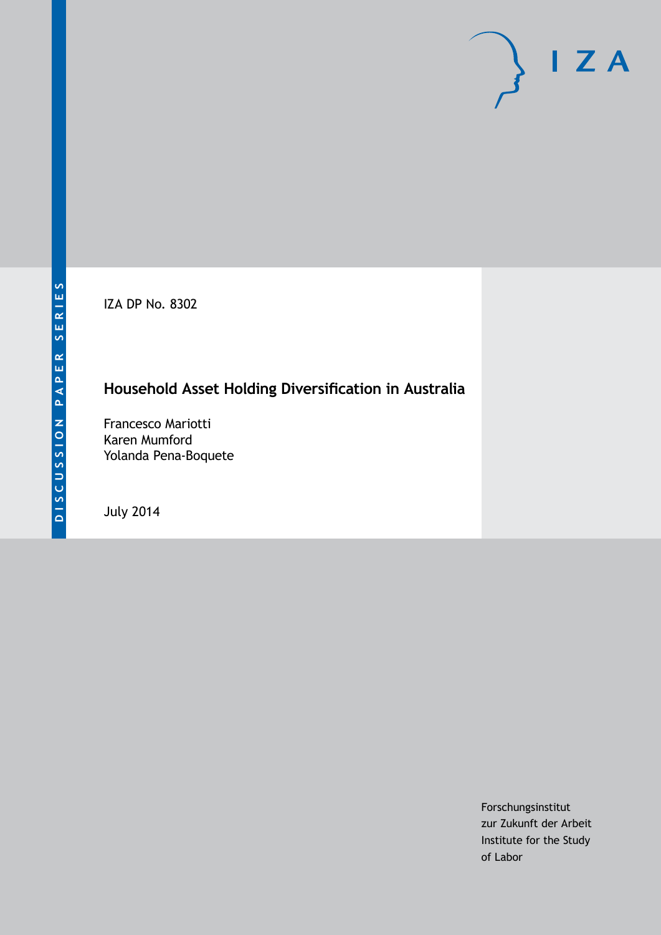IZA DP No. 8302

# **Household Asset Holding Diversification in Australia**

Francesco Mariotti Karen Mumford Yolanda Pena-Boquete

July 2014

Forschungsinstitut zur Zukunft der Arbeit Institute for the Study of Labor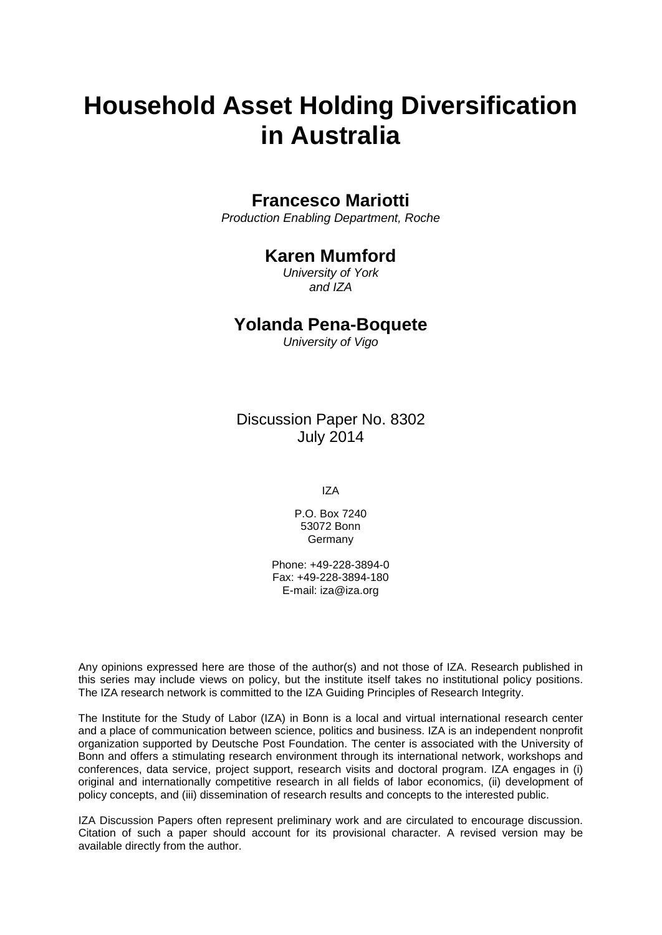# **Household Asset Holding Diversification in Australia**

# **Francesco Mariotti**

*Production Enabling Department, Roche*

# **Karen Mumford**

*University of York and IZA*

# **Yolanda Pena-Boquete**

*University of Vigo*

Discussion Paper No. 8302 July 2014

IZA

P.O. Box 7240 53072 Bonn Germany

Phone: +49-228-3894-0 Fax: +49-228-3894-180 E-mail: [iza@iza.org](mailto:iza@iza.org)

Any opinions expressed here are those of the author(s) and not those of IZA. Research published in this series may include views on policy, but the institute itself takes no institutional policy positions. The IZA research network is committed to the IZA Guiding Principles of Research Integrity.

The Institute for the Study of Labor (IZA) in Bonn is a local and virtual international research center and a place of communication between science, politics and business. IZA is an independent nonprofit organization supported by Deutsche Post Foundation. The center is associated with the University of Bonn and offers a stimulating research environment through its international network, workshops and conferences, data service, project support, research visits and doctoral program. IZA engages in (i) original and internationally competitive research in all fields of labor economics, (ii) development of policy concepts, and (iii) dissemination of research results and concepts to the interested public.

<span id="page-1-0"></span>IZA Discussion Papers often represent preliminary work and are circulated to encourage discussion. Citation of such a paper should account for its provisional character. A revised version may be available directly from the author.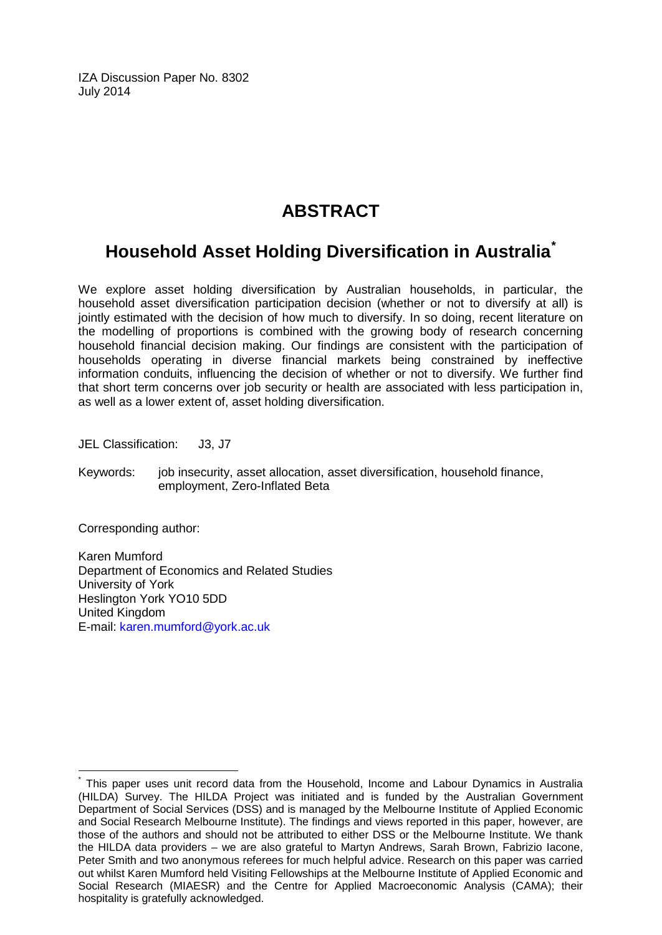IZA Discussion Paper No. 8302 July 2014

# **ABSTRACT**

# **Household Asset Holding Diversification in Australia[\\*](#page-1-0)**

We explore asset holding diversification by Australian households, in particular, the household asset diversification participation decision (whether or not to diversify at all) is jointly estimated with the decision of how much to diversify. In so doing, recent literature on the modelling of proportions is combined with the growing body of research concerning household financial decision making. Our findings are consistent with the participation of households operating in diverse financial markets being constrained by ineffective information conduits, influencing the decision of whether or not to diversify. We further find that short term concerns over job security or health are associated with less participation in, as well as a lower extent of, asset holding diversification.

JEL Classification: J3, J7

Keywords: job insecurity, asset allocation, asset diversification, household finance, employment, Zero-Inflated Beta

Corresponding author:

Karen Mumford Department of Economics and Related Studies University of York Heslington York YO10 5DD United Kingdom E-mail: [karen.mumford@york.ac.uk](mailto:karen.mumford@york.ac.uk)

This paper uses unit record data from the Household, Income and Labour Dynamics in Australia (HILDA) Survey. The HILDA Project was initiated and is funded by the Australian Government Department of Social Services (DSS) and is managed by the Melbourne Institute of Applied Economic and Social Research Melbourne Institute). The findings and views reported in this paper, however, are those of the authors and should not be attributed to either DSS or the Melbourne Institute. We thank the HILDA data providers – we are also grateful to Martyn Andrews, Sarah Brown, Fabrizio Iacone, Peter Smith and two anonymous referees for much helpful advice. Research on this paper was carried out whilst Karen Mumford held Visiting Fellowships at the Melbourne Institute of Applied Economic and Social Research (MIAESR) and the Centre for Applied Macroeconomic Analysis (CAMA); their hospitality is gratefully acknowledged.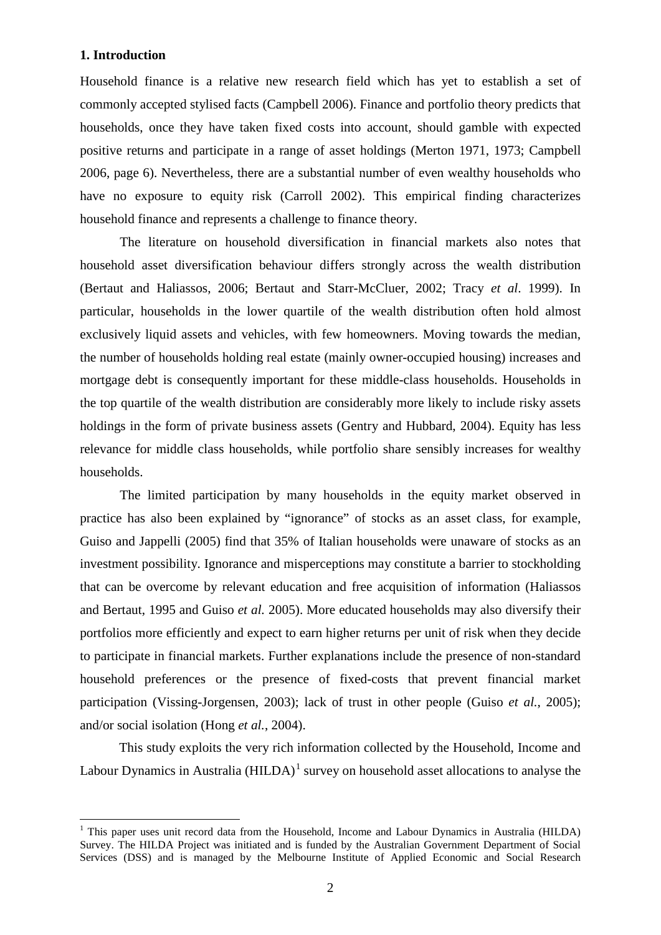# **1. Introduction**

Household finance is a relative new research field which has yet to establish a set of commonly accepted stylised facts (Campbell 2006). Finance and portfolio theory predicts that households, once they have taken fixed costs into account, should gamble with expected positive returns and participate in a range of asset holdings (Merton 1971, 1973; Campbell 2006, page 6). Nevertheless, there are a substantial number of even wealthy households who have no exposure to equity risk (Carroll 2002). This empirical finding characterizes household finance and represents a challenge to finance theory.

The literature on household diversification in financial markets also notes that household asset diversification behaviour differs strongly across the wealth distribution (Bertaut and Haliassos, 2006; Bertaut and Starr-McCluer, 2002; Tracy *et al*. 1999). In particular, households in the lower quartile of the wealth distribution often hold almost exclusively liquid assets and vehicles, with few homeowners. Moving towards the median, the number of households holding real estate (mainly owner-occupied housing) increases and mortgage debt is consequently important for these middle-class households. Households in the top quartile of the wealth distribution are considerably more likely to include risky assets holdings in the form of private business assets (Gentry and Hubbard, 2004). Equity has less relevance for middle class households, while portfolio share sensibly increases for wealthy households.

The limited participation by many households in the equity market observed in practice has also been explained by "ignorance" of stocks as an asset class, for example, Guiso and Jappelli (2005) find that 35% of Italian households were unaware of stocks as an investment possibility. Ignorance and misperceptions may constitute a barrier to stockholding that can be overcome by relevant education and free acquisition of information (Haliassos and Bertaut, 1995 and Guiso *et al.* 2005). More educated households may also diversify their portfolios more efficiently and expect to earn higher returns per unit of risk when they decide to participate in financial markets. Further explanations include the presence of non-standard household preferences or the presence of fixed-costs that prevent financial market participation (Vissing-Jorgensen, 2003); lack of trust in other people (Guiso *et al.*, 2005); and/or social isolation (Hong *et al.*, 2004).

This study exploits the very rich information collected by the Household, Income and Labour Dynamics in Australia  $(HILDA)^1$  survey on household asset allocations to analyse the

<span id="page-3-0"></span> $<sup>1</sup>$  This paper uses unit record data from the Household, Income and Labour Dynamics in Australia (HILDA)</sup> Survey. The HILDA Project was initiated and is funded by the Australian Government Department of Social Services (DSS) and is managed by the Melbourne Institute of Applied Economic and Social Research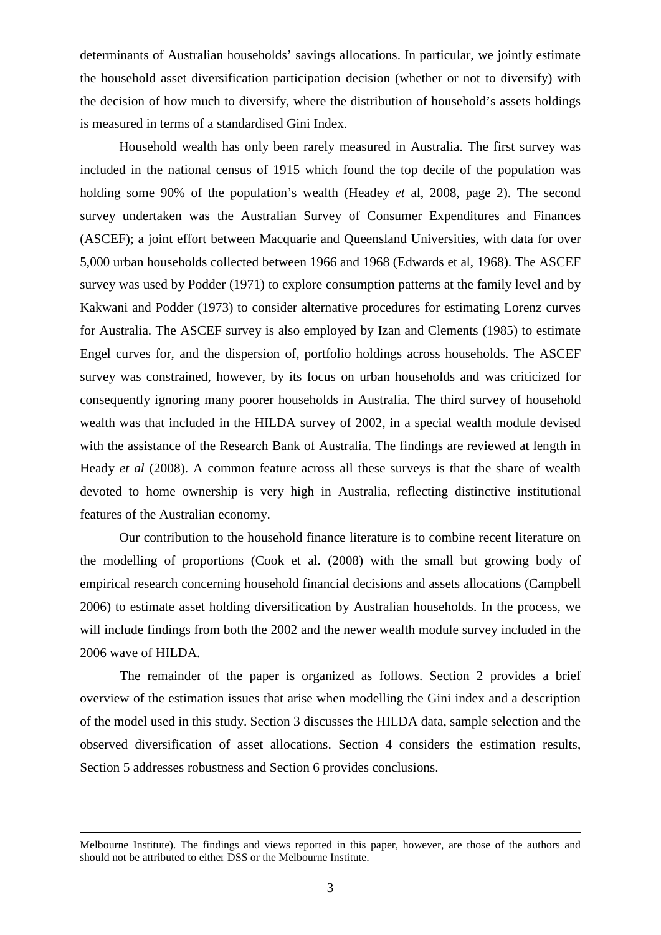determinants of Australian households' savings allocations. In particular, we jointly estimate the household asset diversification participation decision (whether or not to diversify) with the decision of how much to diversify, where the distribution of household's assets holdings is measured in terms of a standardised Gini Index.

Household wealth has only been rarely measured in Australia. The first survey was included in the national census of 1915 which found the top decile of the population was holding some 90% of the population's wealth (Headey *et* al, 2008, page 2). The second survey undertaken was the Australian Survey of Consumer Expenditures and Finances (ASCEF); a joint effort between Macquarie and Queensland Universities, with data for over 5,000 urban households collected between 1966 and 1968 (Edwards et al, 1968). The ASCEF survey was used by Podder (1971) to explore consumption patterns at the family level and by Kakwani and Podder (1973) to consider alternative procedures for estimating Lorenz curves for Australia. The ASCEF survey is also employed by Izan and Clements (1985) to estimate Engel curves for, and the dispersion of, portfolio holdings across households. The ASCEF survey was constrained, however, by its focus on urban households and was criticized for consequently ignoring many poorer households in Australia. The third survey of household wealth was that included in the HILDA survey of 2002, in a special wealth module devised with the assistance of the Research Bank of Australia. The findings are reviewed at length in Heady *et al* (2008). A common feature across all these surveys is that the share of wealth devoted to home ownership is very high in Australia, reflecting distinctive institutional features of the Australian economy.

Our contribution to the household finance literature is to combine recent literature on the modelling of proportions (Cook et al. (2008) with the small but growing body of empirical research concerning household financial decisions and assets allocations (Campbell 2006) to estimate asset holding diversification by Australian households. In the process, we will include findings from both the 2002 and the newer wealth module survey included in the 2006 wave of HILDA.

The remainder of the paper is organized as follows. Section 2 provides a brief overview of the estimation issues that arise when modelling the Gini index and a description of the model used in this study. Section 3 discusses the HILDA data, sample selection and the observed diversification of asset allocations. Section 4 considers the estimation results, Section 5 addresses robustness and Section 6 provides conclusions.

Melbourne Institute). The findings and views reported in this paper, however, are those of the authors and should not be attributed to either DSS or the Melbourne Institute.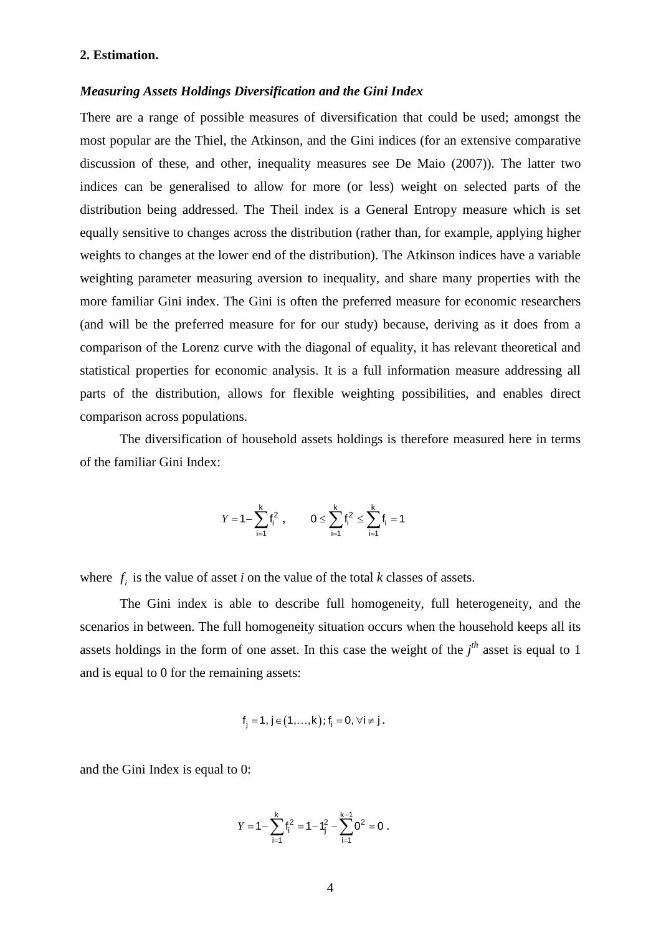## **2. Estimation.**

# *Measuring Assets Holdings Diversification and the Gini Index*

There are a range of possible measures of diversification that could be used; amongst the most popular are the Thiel, the Atkinson, and the Gini indices (for an extensive comparative discussion of these, and other, inequality measures see De Maio (2007)). The latter two indices can be generalised to allow for more (or less) weight on selected parts of the distribution being addressed. The Theil index is a General Entropy measure which is set equally sensitive to changes across the distribution (rather than, for example, applying higher weights to changes at the lower end of the distribution). The Atkinson indices have a variable weighting parameter measuring aversion to inequality, and share many properties with the more familiar Gini index. The Gini is often the preferred measure for economic researchers (and will be the preferred measure for for our study) because, deriving as it does from a comparison of the Lorenz curve with the diagonal of equality, it has relevant theoretical and statistical properties for economic analysis. It is a full information measure addressing all parts of the distribution, allows for flexible weighting possibilities, and enables direct comparison across populations.

The diversification of household assets holdings is therefore measured here in terms of the familiar Gini Index:

$$
Y = 1 - \sum_{i=1}^{k} f_i^2 , \qquad 0 \le \sum_{i=1}^{k} f_i^2 \le \sum_{i=1}^{k} f_i = 1
$$

where  $f_i$  is the value of asset *i* on the value of the total *k* classes of assets.

The Gini index is able to describe full homogeneity, full heterogeneity, and the scenarios in between. The full homogeneity situation occurs when the household keeps all its assets holdings in the form of one asset. In this case the weight of the  $j<sup>th</sup>$  asset is equal to 1 and is equal to 0 for the remaining assets:

$$
f_j=1,\,j\!\in\!\bigl(1,\!\dots,k\bigr); \,f_i=0,\,\forall i\neq j\,.
$$

and the Gini Index is equal to 0:

$$
Y = 1 - \sum_{i=1}^{k} f_i^2 = 1 - f_j^2 - \sum_{i=1}^{k-1} 0^2 = 0.
$$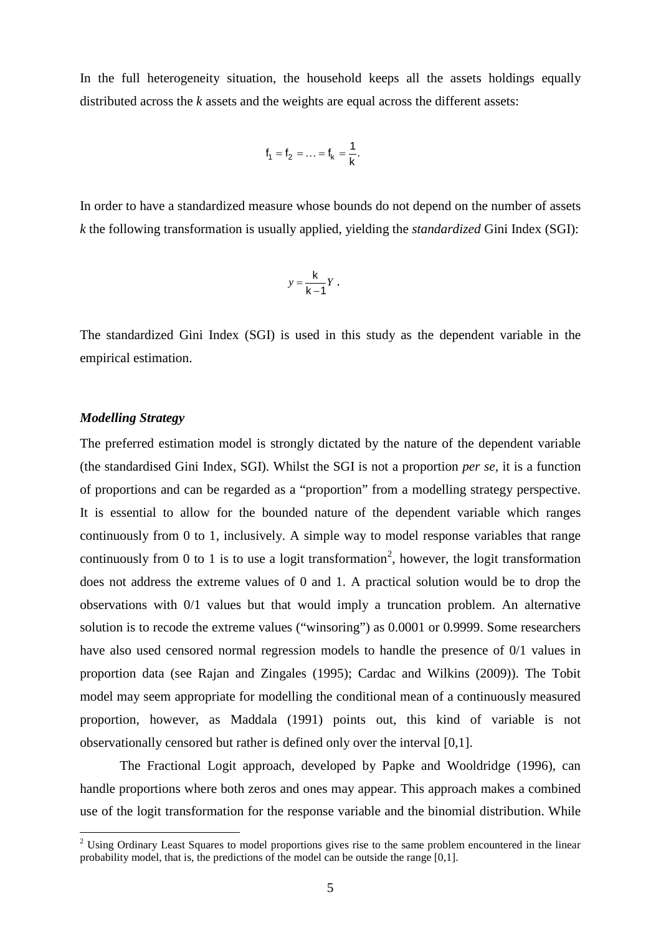In the full heterogeneity situation, the household keeps all the assets holdings equally distributed across the *k* assets and the weights are equal across the different assets:

$$
f_1 = f_2 = \ldots = f_k = \frac{1}{k}
$$
.

In order to have a standardized measure whose bounds do not depend on the number of assets *k* the following transformation is usually applied, yielding the *standardized* Gini Index (SGI):

$$
y=\frac{\mathsf{k}}{\mathsf{k}-\mathsf{1}}Y\ .
$$

The standardized Gini Index (SGI) is used in this study as the dependent variable in the empirical estimation.

# *Modelling Strategy*

The preferred estimation model is strongly dictated by the nature of the dependent variable (the standardised Gini Index, SGI). Whilst the SGI is not a proportion *per se,* it is a function of proportions and can be regarded as a "proportion" from a modelling strategy perspective. It is essential to allow for the bounded nature of the dependent variable which ranges continuously from 0 to 1, inclusively. A simple way to model response variables that range continuously from 0 to 1 is to use a logit transformation<sup>[2](#page-3-0)</sup>, however, the logit transformation does not address the extreme values of 0 and 1. A practical solution would be to drop the observations with 0/1 values but that would imply a truncation problem. An alternative solution is to recode the extreme values ("winsoring") as 0.0001 or 0.9999. Some researchers have also used censored normal regression models to handle the presence of 0/1 values in proportion data (see Rajan and Zingales (1995); Cardac and Wilkins (2009)). The Tobit model may seem appropriate for modelling the conditional mean of a continuously measured proportion, however, as Maddala (1991) points out, this kind of variable is not observationally censored but rather is defined only over the interval [0,1].

<span id="page-6-0"></span>The Fractional Logit approach, developed by Papke and Wooldridge (1996), can handle proportions where both zeros and ones may appear. This approach makes a combined use of the logit transformation for the response variable and the binomial distribution. While

<sup>&</sup>lt;sup>2</sup> Using Ordinary Least Squares to model proportions gives rise to the same problem encountered in the linear probability model, that is, the predictions of the model can be outside the range [0,1].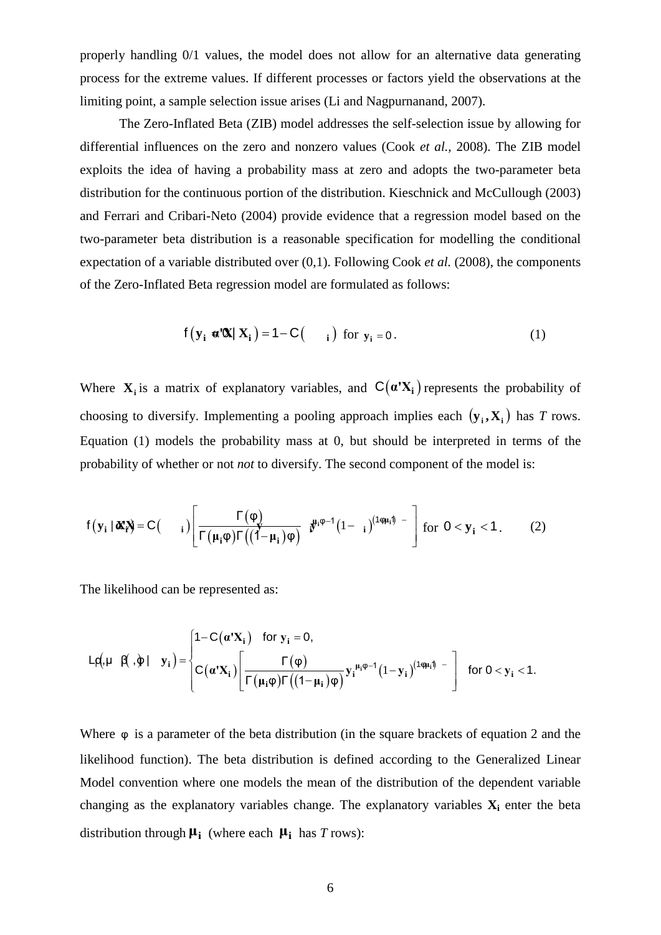properly handling 0/1 values, the model does not allow for an alternative data generating process for the extreme values. If different processes or factors yield the observations at the limiting point, a sample selection issue arises (Li and Nagpurnanand, 2007).

The Zero-Inflated Beta (ZIB) model addresses the self-selection issue by allowing for differential influences on the zero and nonzero values (Cook *et al.,* 2008). The ZIB model exploits the idea of having a probability mass at zero and adopts the two-parameter beta distribution for the continuous portion of the distribution. Kieschnick and McCullough (2003) and Ferrari and Cribari-Neto (2004) provide evidence that a regression model based on the two-parameter beta distribution is a reasonable specification for modelling the conditional expectation of a variable distributed over (0,1). Following Cook *et al.* (2008), the components of the Zero-Inflated Beta regression model are formulated as follows:

$$
f(\mathbf{y}_i \cdot \mathbf{u}'\mathbf{X} | \mathbf{X}_i) = 1 - C(\mathbf{i})
$$
 for  $\mathbf{y}_i = 0$ . (1)

Where  $X_i$  is a matrix of explanatory variables, and  $C(\alpha'X_i)$  represents the probability of choosing to diversify. Implementing a pooling approach implies each  $(\mathbf{y}_i, \mathbf{X}_i)$  has *T* rows. Equation (1) models the probability mass at 0, but should be interpreted in terms of the probability of whether or not *not* to diversify. The second component of the model is:

$$
f(\mathbf{y}_i \mid \boldsymbol{\alpha} \boldsymbol{x}_i) = C \begin{pmatrix} i \end{pmatrix} \begin{bmatrix} \Gamma(\phi) \\ \Gamma(\mu_i \phi) \Gamma((1-\mu_i)\phi) \end{bmatrix} \boldsymbol{y}^{\mu_i \phi - 1} \begin{pmatrix} 1 - i \end{pmatrix}^{(1 \phi \mu_i)} - \begin{bmatrix} \text{for } 0 < \mathbf{y}_i < 1. \end{bmatrix} \tag{2}
$$

The likelihood can be represented as:

$$
L \rho(\mu \mid \beta(\cdot,\phi) \mid y_i) = \begin{cases} 1 - C(\alpha^t X_i) & \text{for } y_i = 0, \\ C(\alpha^t X_i) \left[ \frac{\Gamma(\phi)}{\Gamma(\mu_i \phi) \Gamma((1-\mu_i) \phi)} y_i^{\mu_i \phi - 1} (1 - y_i)^{(1 \phi \mu_i \phi)} \right] & \text{for } 0 < y_i < 1. \end{cases}
$$

Where φ is a parameter of the beta distribution (in the square brackets of equation 2 and the likelihood function). The beta distribution is defined according to the Generalized Linear Model convention where one models the mean of the distribution of the dependent variable changing as the explanatory variables change. The explanatory variables  $X_i$  enter the beta distribution through **μ<sup>i</sup>** (where each **μ<sup>i</sup>** has *T* rows):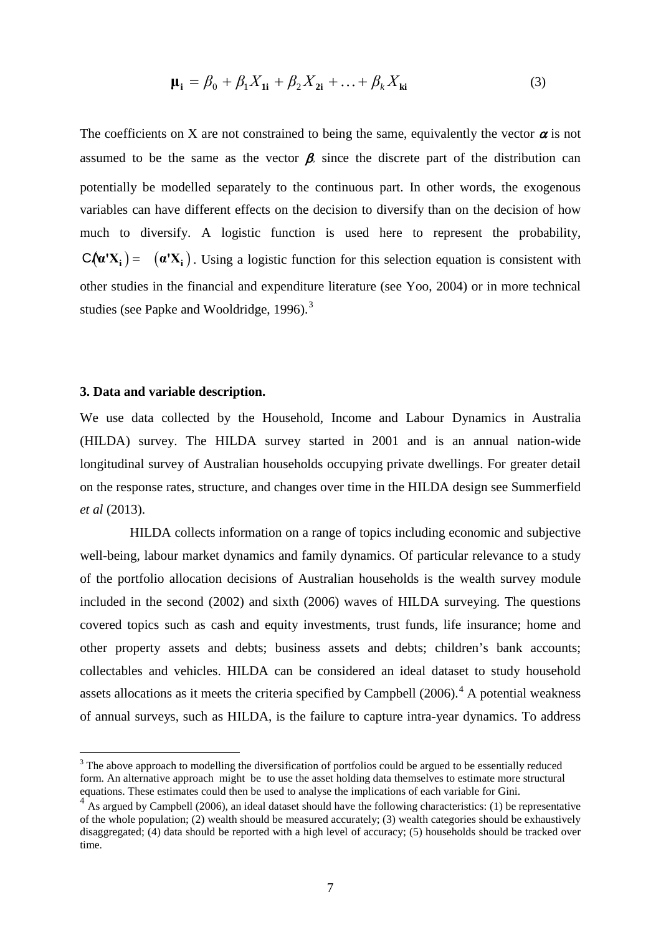$$
\mathbf{\mu}_{i} = \beta_{0} + \beta_{1}X_{1i} + \beta_{2}X_{2i} + \ldots + \beta_{k}X_{ki}
$$
\n(3)

The coefficients on X are not constrained to being the same, equivalently the vector  $\alpha$  is not assumed to be the same as the vector  $\beta$ , since the discrete part of the distribution can potentially be modelled separately to the continuous part. In other words, the exogenous variables can have different effects on the decision to diversify than on the decision of how much to diversify. A logistic function is used here to represent the probability,  $C(\alpha'X_i) = (\alpha'X_i)$ . Using a logistic function for this selection equation is consistent with other studies in the financial and expenditure literature (see Yoo, 2004) or in more technical studies (see Papke and Wooldridge, 1996).<sup>[3](#page-6-0)</sup>

#### **3. Data and variable description.**

We use data collected by the Household, Income and Labour Dynamics in Australia (HILDA) survey. The HILDA survey started in 2001 and is an annual nation-wide longitudinal survey of Australian households occupying private dwellings. For greater detail on the response rates, structure, and changes over time in the HILDA design see Summerfield *et al* (2013).

HILDA collects information on a range of topics including economic and subjective well-being, labour market dynamics and family dynamics. Of particular relevance to a study of the portfolio allocation decisions of Australian households is the wealth survey module included in the second (2002) and sixth (2006) waves of HILDA surveying. The questions covered topics such as cash and equity investments, trust funds, life insurance; home and other property assets and debts; business assets and debts; children's bank accounts; collectables and vehicles. HILDA can be considered an ideal dataset to study household assets allocations as it meets the criteria specified by Campbell (2006).<sup>[4](#page-8-0)</sup> A potential weakness of annual surveys, such as HILDA, is the failure to capture intra-year dynamics. To address

<sup>&</sup>lt;sup>3</sup> The above approach to modelling the diversification of portfolios could be argued to be essentially reduced form. An alternative approach might be to use the asset holding data themselves to estimate more structural equations. These estimates could then be used to analyse the implications of each variable for Gini.<br><sup>4</sup> As argued by Campbell (2006), an ideal dataset should have the following characteristics: (1) be representative

<span id="page-8-1"></span><span id="page-8-0"></span>of the whole population; (2) wealth should be measured accurately; (3) wealth categories should be exhaustively disaggregated; (4) data should be reported with a high level of accuracy; (5) households should be tracked over time.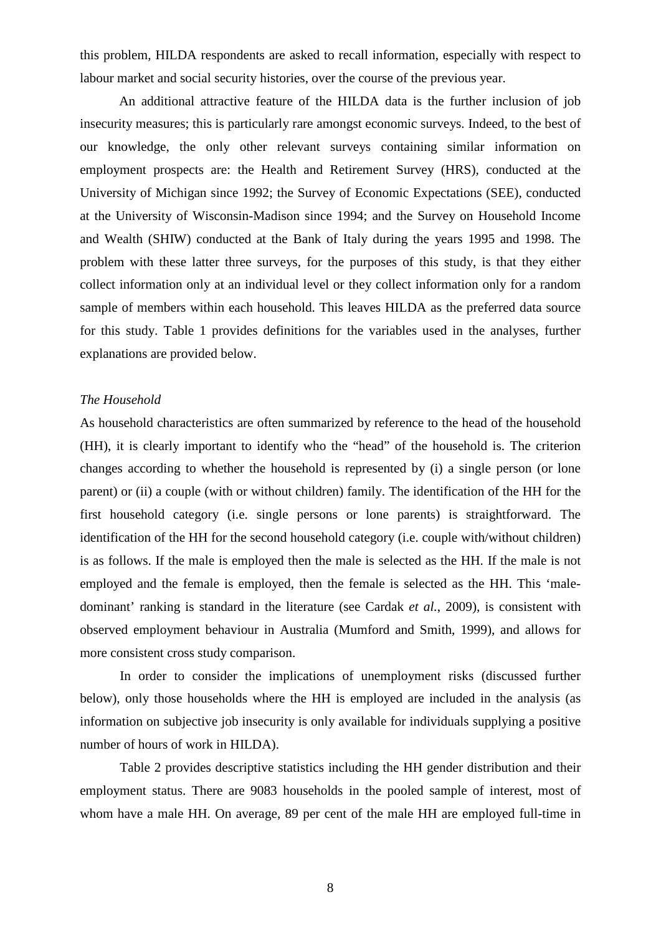this problem, HILDA respondents are asked to recall information, especially with respect to labour market and social security histories, over the course of the previous year.

An additional attractive feature of the HILDA data is the further inclusion of job insecurity measures; this is particularly rare amongst economic surveys. Indeed, to the best of our knowledge, the only other relevant surveys containing similar information on employment prospects are: the Health and Retirement Survey (HRS), conducted at the University of Michigan since 1992; the Survey of Economic Expectations (SEE), conducted at the University of Wisconsin-Madison since 1994; and the Survey on Household Income and Wealth (SHIW) conducted at the Bank of Italy during the years 1995 and 1998. The problem with these latter three surveys, for the purposes of this study, is that they either collect information only at an individual level or they collect information only for a random sample of members within each household. This leaves HILDA as the preferred data source for this study. Table 1 provides definitions for the variables used in the analyses, further explanations are provided below.

### *The Household*

As household characteristics are often summarized by reference to the head of the household (HH), it is clearly important to identify who the "head" of the household is. The criterion changes according to whether the household is represented by (i) a single person (or lone parent) or (ii) a couple (with or without children) family. The identification of the HH for the first household category (i.e. single persons or lone parents) is straightforward. The identification of the HH for the second household category (i.e. couple with/without children) is as follows. If the male is employed then the male is selected as the HH. If the male is not employed and the female is employed, then the female is selected as the HH. This 'maledominant' ranking is standard in the literature (see Cardak *et al.*, 2009), is consistent with observed employment behaviour in Australia (Mumford and Smith, 1999), and allows for more consistent cross study comparison.

In order to consider the implications of unemployment risks (discussed further below), only those households where the HH is employed are included in the analysis (as information on subjective job insecurity is only available for individuals supplying a positive number of hours of work in HILDA).

Table 2 provides descriptive statistics including the HH gender distribution and their employment status. There are 9083 households in the pooled sample of interest, most of whom have a male HH. On average, 89 per cent of the male HH are employed full-time in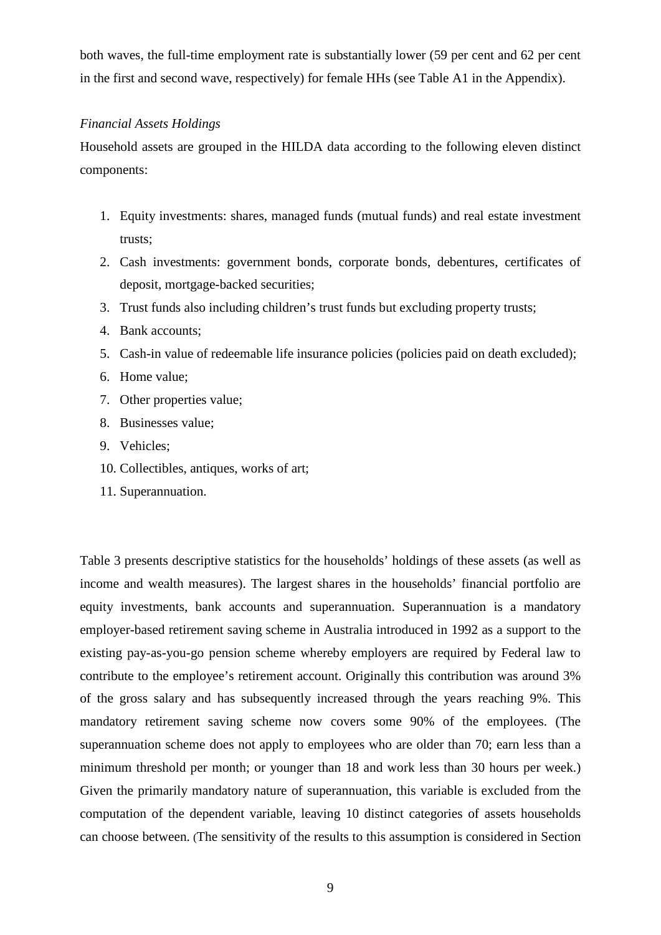both waves, the full-time employment rate is substantially lower (59 per cent and 62 per cent in the first and second wave, respectively) for female HHs (see Table A1 in the Appendix).

## *Financial Assets Holdings*

Household assets are grouped in the HILDA data according to the following eleven distinct components:

- 1. Equity investments: shares, managed funds (mutual funds) and real estate investment trusts;
- 2. Cash investments: government bonds, corporate bonds, debentures, certificates of deposit, mortgage-backed securities;
- 3. Trust funds also including children's trust funds but excluding property trusts;
- 4. Bank accounts;
- 5. Cash-in value of redeemable life insurance policies (policies paid on death excluded);
- 6. Home value;
- 7. Other properties value;
- 8. Businesses value;
- 9. Vehicles;
- 10. Collectibles, antiques, works of art;
- 11. Superannuation.

Table 3 presents descriptive statistics for the households' holdings of these assets (as well as income and wealth measures). The largest shares in the households' financial portfolio are equity investments, bank accounts and superannuation. Superannuation is a mandatory employer-based retirement saving scheme in Australia introduced in 1992 as a support to the existing pay-as-you-go pension scheme whereby employers are required by Federal law to contribute to the employee's retirement account. Originally this contribution was around 3% of the gross salary and has subsequently increased through the years reaching 9%. This mandatory retirement saving scheme now covers some 90% of the employees. (The superannuation scheme does not apply to employees who are older than 70; earn less than a minimum threshold per month; or younger than 18 and work less than 30 hours per week.) Given the primarily mandatory nature of superannuation, this variable is excluded from the computation of the dependent variable, leaving 10 distinct categories of assets households can choose between. (The sensitivity of the results to this assumption is considered in Section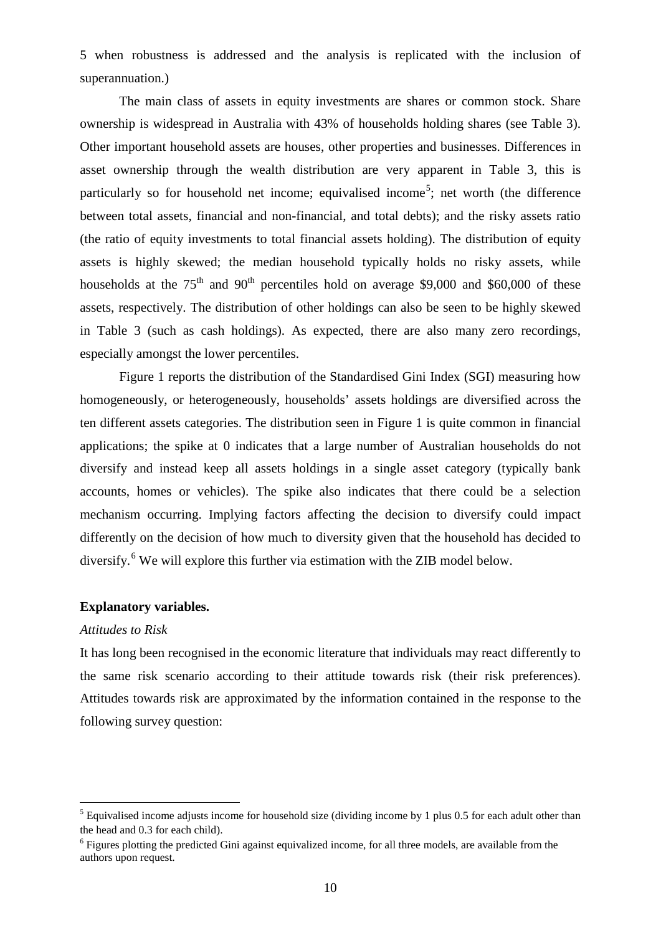5 when robustness is addressed and the analysis is replicated with the inclusion of superannuation.)

The main class of assets in equity investments are shares or common stock. Share ownership is widespread in Australia with 43% of households holding shares (see Table 3). Other important household assets are houses, other properties and businesses. Differences in asset ownership through the wealth distribution are very apparent in Table 3, this is particularly so for household net income; equivalised income<sup>[5](#page-8-1)</sup>; net worth (the difference between total assets, financial and non-financial, and total debts); and the risky assets ratio (the ratio of equity investments to total financial assets holding). The distribution of equity assets is highly skewed; the median household typically holds no risky assets, while households at the  $75<sup>th</sup>$  and  $90<sup>th</sup>$  percentiles hold on average \$9,000 and \$60,000 of these assets, respectively. The distribution of other holdings can also be seen to be highly skewed in Table 3 (such as cash holdings). As expected, there are also many zero recordings, especially amongst the lower percentiles.

Figure 1 reports the distribution of the Standardised Gini Index (SGI) measuring how homogeneously, or heterogeneously, households' assets holdings are diversified across the ten different assets categories. The distribution seen in Figure 1 is quite common in financial applications; the spike at 0 indicates that a large number of Australian households do not diversify and instead keep all assets holdings in a single asset category (typically bank accounts, homes or vehicles). The spike also indicates that there could be a selection mechanism occurring. Implying factors affecting the decision to diversify could impact differently on the decision of how much to diversity given that the household has decided to diversify.[6](#page-11-0) We will explore this further via estimation with the ZIB model below.

# **Explanatory variables.**

## *Attitudes to Risk*

It has long been recognised in the economic literature that individuals may react differently to the same risk scenario according to their attitude towards risk (their risk preferences). Attitudes towards risk are approximated by the information contained in the response to the following survey question:

<sup>&</sup>lt;sup>5</sup> Equivalised income adjusts income for household size (dividing income by 1 plus 0.5 for each adult other than the head and 0.3 for each child).

<span id="page-11-1"></span><span id="page-11-0"></span> $6$  Figures plotting the predicted Gini against equivalized income, for all three models, are available from the authors upon request.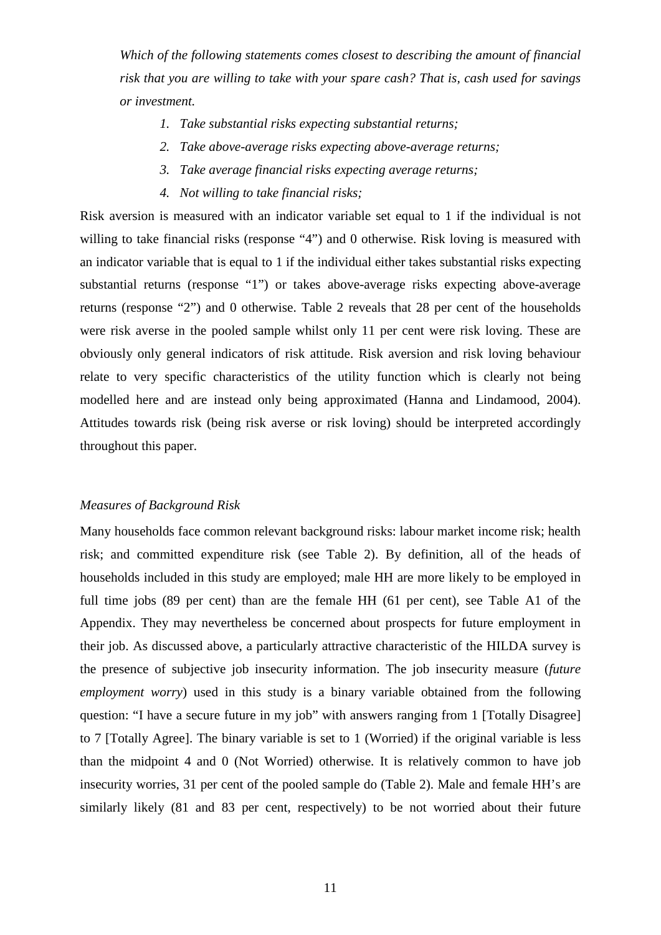*Which of the following statements comes closest to describing the amount of financial risk that you are willing to take with your spare cash? That is, cash used for savings or investment.*

- *1. Take substantial risks expecting substantial returns;*
- *2. Take above-average risks expecting above-average returns;*
- *3. Take average financial risks expecting average returns;*
- *4. Not willing to take financial risks;*

Risk aversion is measured with an indicator variable set equal to 1 if the individual is not willing to take financial risks (response "4") and 0 otherwise. Risk loving is measured with an indicator variable that is equal to 1 if the individual either takes substantial risks expecting substantial returns (response "1") or takes above-average risks expecting above-average returns (response "2") and 0 otherwise. Table 2 reveals that 28 per cent of the households were risk averse in the pooled sample whilst only 11 per cent were risk loving. These are obviously only general indicators of risk attitude. Risk aversion and risk loving behaviour relate to very specific characteristics of the utility function which is clearly not being modelled here and are instead only being approximated (Hanna and Lindamood, 2004). Attitudes towards risk (being risk averse or risk loving) should be interpreted accordingly throughout this paper.

## *Measures of Background Risk*

Many households face common relevant background risks: labour market income risk; health risk; and committed expenditure risk (see Table 2). By definition, all of the heads of households included in this study are employed; male HH are more likely to be employed in full time jobs (89 per cent) than are the female HH (61 per cent), see Table A1 of the Appendix. They may nevertheless be concerned about prospects for future employment in their job. As discussed above, a particularly attractive characteristic of the HILDA survey is the presence of subjective job insecurity information. The job insecurity measure (*future employment worry*) used in this study is a binary variable obtained from the following question: "I have a secure future in my job" with answers ranging from 1 [Totally Disagree] to 7 [Totally Agree]. The binary variable is set to 1 (Worried) if the original variable is less than the midpoint 4 and 0 (Not Worried) otherwise. It is relatively common to have job insecurity worries, 31 per cent of the pooled sample do (Table 2). Male and female HH's are similarly likely (81 and 83 per cent, respectively) to be not worried about their future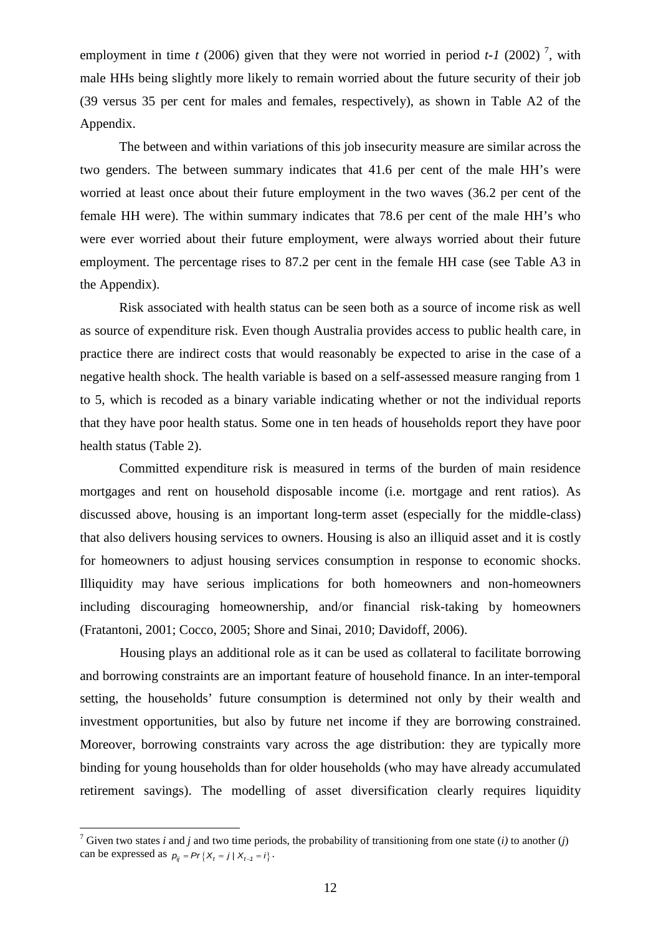employment in time  $t$  (2006) given that they were not worried in period  $t$ -1 (2002)<sup>[7](#page-11-1)</sup>, with male HHs being slightly more likely to remain worried about the future security of their job (39 versus 35 per cent for males and females, respectively), as shown in Table A2 of the Appendix.

The between and within variations of this job insecurity measure are similar across the two genders. The between summary indicates that 41.6 per cent of the male HH's were worried at least once about their future employment in the two waves (36.2 per cent of the female HH were). The within summary indicates that 78.6 per cent of the male HH's who were ever worried about their future employment, were always worried about their future employment. The percentage rises to 87.2 per cent in the female HH case (see Table A3 in the Appendix).

Risk associated with health status can be seen both as a source of income risk as well as source of expenditure risk. Even though Australia provides access to public health care, in practice there are indirect costs that would reasonably be expected to arise in the case of a negative health shock. The health variable is based on a self-assessed measure ranging from 1 to 5, which is recoded as a binary variable indicating whether or not the individual reports that they have poor health status. Some one in ten heads of households report they have poor health status (Table 2).

Committed expenditure risk is measured in terms of the burden of main residence mortgages and rent on household disposable income (i.e. mortgage and rent ratios). As discussed above, housing is an important long-term asset (especially for the middle-class) that also delivers housing services to owners. Housing is also an illiquid asset and it is costly for homeowners to adjust housing services consumption in response to economic shocks. Illiquidity may have serious implications for both homeowners and non-homeowners including discouraging homeownership, and/or financial risk-taking by homeowners (Fratantoni, 2001; Cocco, 2005; Shore and Sinai, 2010; Davidoff, 2006).

<span id="page-13-0"></span>Housing plays an additional role as it can be used as collateral to facilitate borrowing and borrowing constraints are an important feature of household finance. In an inter-temporal setting, the households' future consumption is determined not only by their wealth and investment opportunities, but also by future net income if they are borrowing constrained. Moreover, borrowing constraints vary across the age distribution: they are typically more binding for young households than for older households (who may have already accumulated retirement savings). The modelling of asset diversification clearly requires liquidity

<sup>&</sup>lt;sup>7</sup> Given two states *i* and *j* and two time periods, the probability of transitioning from one state (*i*) to another (*j*) can be expressed as  $p_{ij} = Pr\{X_t = j | X_{t-1} = i\}$ .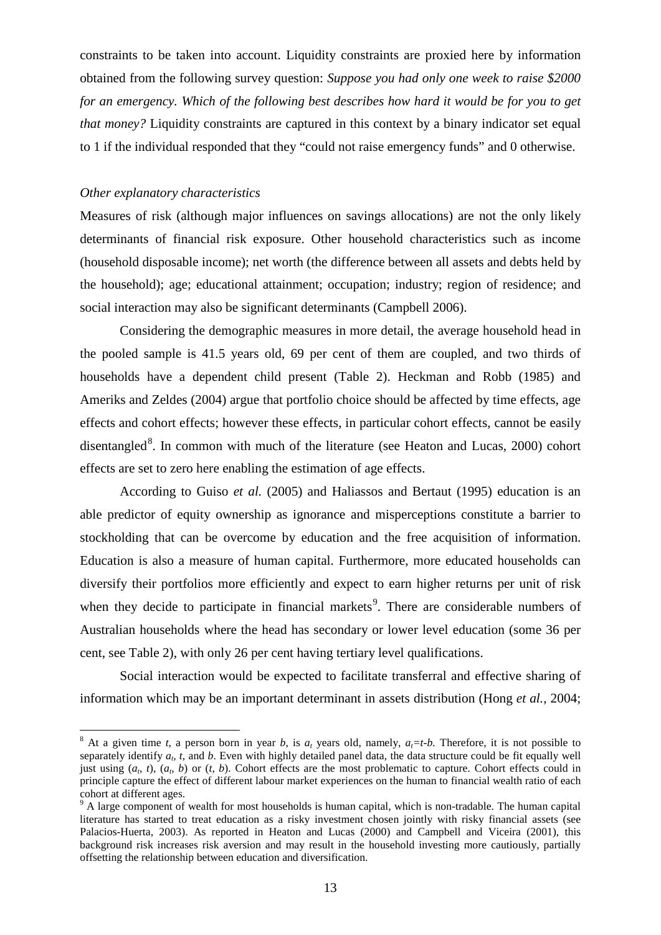constraints to be taken into account. Liquidity constraints are proxied here by information obtained from the following survey question: *Suppose you had only one week to raise \$2000 for an emergency. Which of the following best describes how hard it would be for you to get that money?* Liquidity constraints are captured in this context by a binary indicator set equal to 1 if the individual responded that they "could not raise emergency funds" and 0 otherwise.

# *Other explanatory characteristics*

Measures of risk (although major influences on savings allocations) are not the only likely determinants of financial risk exposure. Other household characteristics such as income (household disposable income); net worth (the difference between all assets and debts held by the household); age; educational attainment; occupation; industry; region of residence; and social interaction may also be significant determinants (Campbell 2006).

Considering the demographic measures in more detail, the average household head in the pooled sample is 41.5 years old, 69 per cent of them are coupled, and two thirds of households have a dependent child present (Table 2). Heckman and Robb (1985) and Ameriks and Zeldes (2004) argue that portfolio choice should be affected by time effects, age effects and cohort effects; however these effects, in particular cohort effects, cannot be easily disentangled<sup>[8](#page-13-0)</sup>. In common with much of the literature (see Heaton and Lucas, 2000) cohort effects are set to zero here enabling the estimation of age effects.

According to Guiso *et al.* (2005) and Haliassos and Bertaut (1995) education is an able predictor of equity ownership as ignorance and misperceptions constitute a barrier to stockholding that can be overcome by education and the free acquisition of information. Education is also a measure of human capital. Furthermore, more educated households can diversify their portfolios more efficiently and expect to earn higher returns per unit of risk when they decide to participate in financial markets<sup>[9](#page-14-0)</sup>. There are considerable numbers of Australian households where the head has secondary or lower level education (some 36 per cent, see Table 2), with only 26 per cent having tertiary level qualifications.

Social interaction would be expected to facilitate transferral and effective sharing of information which may be an important determinant in assets distribution (Hong *et al.*, 2004;

<span id="page-14-1"></span><sup>&</sup>lt;sup>8</sup> At a given time *t*, a person born in year *b*, is  $a_t$  years old, namely,  $a_t = t-b$ . Therefore, it is not possible to separately identify  $a<sub>b</sub>$ , t, and  $b$ . Even with highly detailed panel data, the data structure could be fit equally well just using  $(a_t, t)$ ,  $(a_t, b)$  or  $(t, b)$ . Cohort effects are the most problematic to capture. Cohort effects could in principle capture the effect of different labour market experiences on the human to financial wealth ratio of each cohort at different ages.

<span id="page-14-0"></span><sup>&</sup>lt;sup>9</sup> A large component of wealth for most households is human capital, which is non-tradable. The human capital literature has started to treat education as a risky investment chosen jointly with risky financial assets (see Palacios-Huerta, 2003). As reported in Heaton and Lucas (2000) and Campbell and Viceira (2001), this background risk increases risk aversion and may result in the household investing more cautiously, partially offsetting the relationship between education and diversification.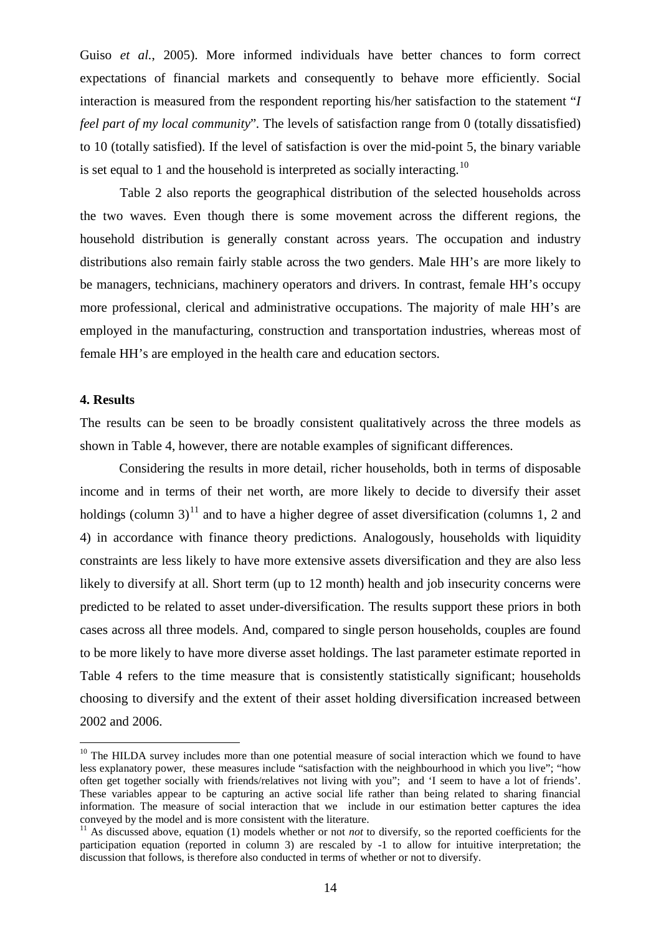Guiso *et al.*, 2005). More informed individuals have better chances to form correct expectations of financial markets and consequently to behave more efficiently. Social interaction is measured from the respondent reporting his/her satisfaction to the statement "*I feel part of my local community*"*.* The levels of satisfaction range from 0 (totally dissatisfied) to 10 (totally satisfied). If the level of satisfaction is over the mid-point 5, the binary variable is set equal to 1 and the household is interpreted as socially interacting.<sup>[10](#page-14-1)</sup>

Table 2 also reports the geographical distribution of the selected households across the two waves. Even though there is some movement across the different regions, the household distribution is generally constant across years. The occupation and industry distributions also remain fairly stable across the two genders. Male HH's are more likely to be managers, technicians, machinery operators and drivers. In contrast, female HH's occupy more professional, clerical and administrative occupations. The majority of male HH's are employed in the manufacturing, construction and transportation industries, whereas most of female HH's are employed in the health care and education sectors.

# **4. Results**

The results can be seen to be broadly consistent qualitatively across the three models as shown in Table 4, however, there are notable examples of significant differences.

Considering the results in more detail, richer households, both in terms of disposable income and in terms of their net worth, are more likely to decide to diversify their asset holdings (column 3)<sup>[11](#page-15-0)</sup> and to have a higher degree of asset diversification (columns 1, 2 and 4) in accordance with finance theory predictions. Analogously, households with liquidity constraints are less likely to have more extensive assets diversification and they are also less likely to diversify at all. Short term (up to 12 month) health and job insecurity concerns were predicted to be related to asset under-diversification. The results support these priors in both cases across all three models. And, compared to single person households, couples are found to be more likely to have more diverse asset holdings. The last parameter estimate reported in Table 4 refers to the time measure that is consistently statistically significant; households choosing to diversify and the extent of their asset holding diversification increased between 2002 and 2006.

<sup>&</sup>lt;sup>10</sup> The HILDA survey includes more than one potential measure of social interaction which we found to have less explanatory power, these measures include "satisfaction with the neighbourhood in which you live"; "how often get together socially with friends/relatives not living with you"; and 'I seem to have a lot of friends'. These variables appear to be capturing an active social life rather than being related to sharing financial information. The measure of social interaction that we include in our estimation better captures the idea conveyed by the model and is more consistent with the literature.

<span id="page-15-1"></span><span id="page-15-0"></span><sup>&</sup>lt;sup>11</sup> As discussed above, equation (1) models whether or not *not* to diversify, so the reported coefficients for the participation equation (reported in column 3) are rescaled by -1 to allow for intuitive interpretation; the discussion that follows, is therefore also conducted in terms of whether or not to diversify.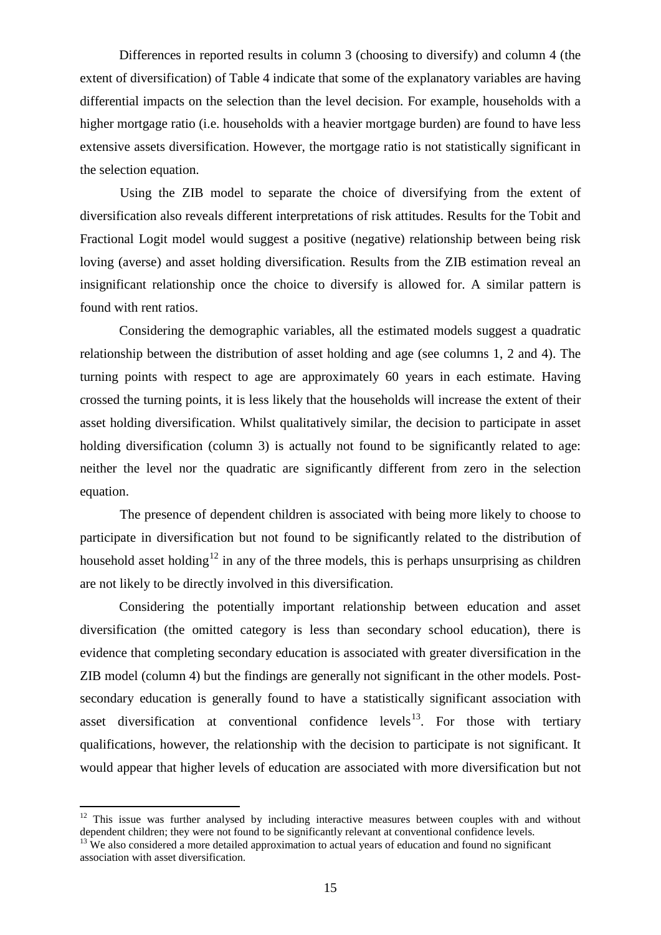Differences in reported results in column 3 (choosing to diversify) and column 4 (the extent of diversification) of Table 4 indicate that some of the explanatory variables are having differential impacts on the selection than the level decision. For example, households with a higher mortgage ratio (i.e. households with a heavier mortgage burden) are found to have less extensive assets diversification. However, the mortgage ratio is not statistically significant in the selection equation.

Using the ZIB model to separate the choice of diversifying from the extent of diversification also reveals different interpretations of risk attitudes. Results for the Tobit and Fractional Logit model would suggest a positive (negative) relationship between being risk loving (averse) and asset holding diversification. Results from the ZIB estimation reveal an insignificant relationship once the choice to diversify is allowed for. A similar pattern is found with rent ratios.

Considering the demographic variables, all the estimated models suggest a quadratic relationship between the distribution of asset holding and age (see columns 1, 2 and 4). The turning points with respect to age are approximately 60 years in each estimate. Having crossed the turning points, it is less likely that the households will increase the extent of their asset holding diversification. Whilst qualitatively similar, the decision to participate in asset holding diversification (column 3) is actually not found to be significantly related to age: neither the level nor the quadratic are significantly different from zero in the selection equation.

The presence of dependent children is associated with being more likely to choose to participate in diversification but not found to be significantly related to the distribution of household asset holding<sup>[12](#page-15-1)</sup> in any of the three models, this is perhaps unsurprising as children are not likely to be directly involved in this diversification.

Considering the potentially important relationship between education and asset diversification (the omitted category is less than secondary school education), there is evidence that completing secondary education is associated with greater diversification in the ZIB model (column 4) but the findings are generally not significant in the other models. Postsecondary education is generally found to have a statistically significant association with asset diversification at conventional confidence levels<sup>13</sup>. For those with tertiary qualifications, however, the relationship with the decision to participate is not significant. It would appear that higher levels of education are associated with more diversification but not

<sup>&</sup>lt;sup>12</sup> This issue was further analysed by including interactive measures between couples with and without dependent children; they were not found to be significantly relevant at conventional confidence levels.

<span id="page-16-0"></span> $\frac{13}{13}$  We also considered a more detailed approximation to actual years of education and found no significant association with asset diversification.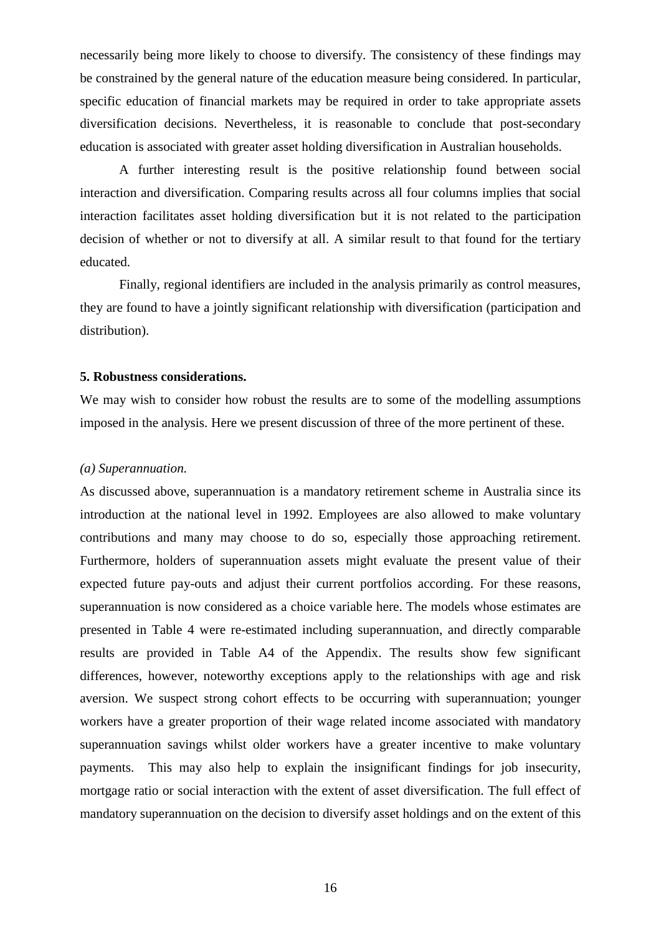necessarily being more likely to choose to diversify. The consistency of these findings may be constrained by the general nature of the education measure being considered. In particular, specific education of financial markets may be required in order to take appropriate assets diversification decisions. Nevertheless, it is reasonable to conclude that post-secondary education is associated with greater asset holding diversification in Australian households.

A further interesting result is the positive relationship found between social interaction and diversification. Comparing results across all four columns implies that social interaction facilitates asset holding diversification but it is not related to the participation decision of whether or not to diversify at all. A similar result to that found for the tertiary educated.

Finally, regional identifiers are included in the analysis primarily as control measures, they are found to have a jointly significant relationship with diversification (participation and distribution).

#### **5. Robustness considerations.**

We may wish to consider how robust the results are to some of the modelling assumptions imposed in the analysis. Here we present discussion of three of the more pertinent of these.

# *(a) Superannuation.*

As discussed above, superannuation is a mandatory retirement scheme in Australia since its introduction at the national level in 1992. Employees are also allowed to make voluntary contributions and many may choose to do so, especially those approaching retirement. Furthermore, holders of superannuation assets might evaluate the present value of their expected future pay-outs and adjust their current portfolios according. For these reasons, superannuation is now considered as a choice variable here. The models whose estimates are presented in Table 4 were re-estimated including superannuation, and directly comparable results are provided in Table A4 of the Appendix. The results show few significant differences, however, noteworthy exceptions apply to the relationships with age and risk aversion. We suspect strong cohort effects to be occurring with superannuation; younger workers have a greater proportion of their wage related income associated with mandatory superannuation savings whilst older workers have a greater incentive to make voluntary payments. This may also help to explain the insignificant findings for job insecurity, mortgage ratio or social interaction with the extent of asset diversification. The full effect of mandatory superannuation on the decision to diversify asset holdings and on the extent of this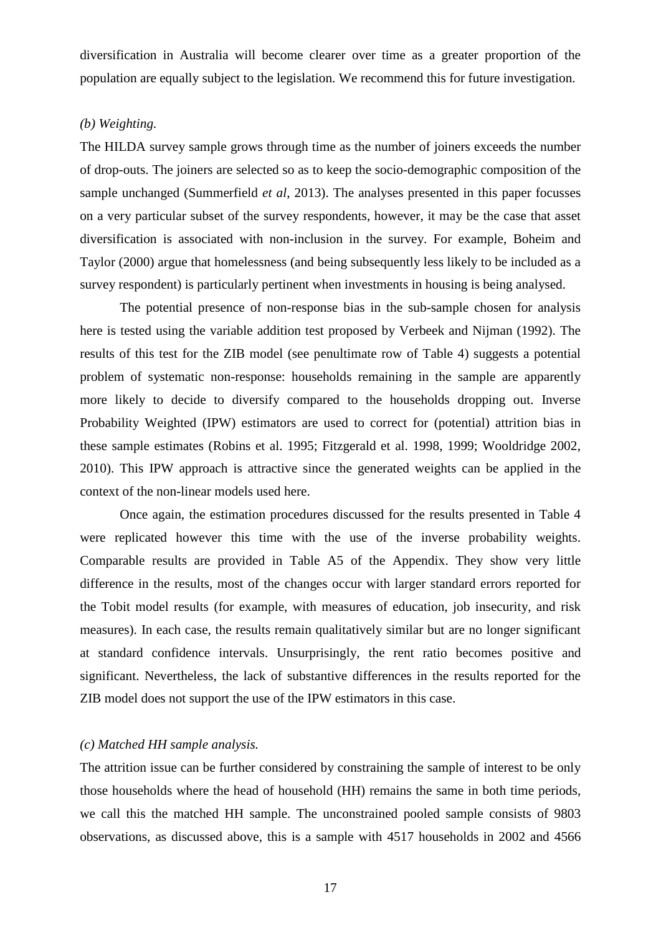diversification in Australia will become clearer over time as a greater proportion of the population are equally subject to the legislation. We recommend this for future investigation.

# *(b) Weighting.*

The HILDA survey sample grows through time as the number of joiners exceeds the number of drop-outs. The joiners are selected so as to keep the socio-demographic composition of the sample unchanged (Summerfield *et al*, 2013). The analyses presented in this paper focusses on a very particular subset of the survey respondents, however, it may be the case that asset diversification is associated with non-inclusion in the survey. For example, Boheim and Taylor (2000) argue that homelessness (and being subsequently less likely to be included as a survey respondent) is particularly pertinent when investments in housing is being analysed.

The potential presence of non-response bias in the sub-sample chosen for analysis here is tested using the variable addition test proposed by Verbeek and Nijman (1992). The results of this test for the ZIB model (see penultimate row of Table 4) suggests a potential problem of systematic non-response: households remaining in the sample are apparently more likely to decide to diversify compared to the households dropping out. Inverse Probability Weighted (IPW) estimators are used to correct for (potential) attrition bias in these sample estimates (Robins et al. 1995; Fitzgerald et al. 1998, 1999; Wooldridge 2002, 2010). This IPW approach is attractive since the generated weights can be applied in the context of the non-linear models used here.

Once again, the estimation procedures discussed for the results presented in Table 4 were replicated however this time with the use of the inverse probability weights. Comparable results are provided in Table A5 of the Appendix. They show very little difference in the results, most of the changes occur with larger standard errors reported for the Tobit model results (for example, with measures of education, job insecurity, and risk measures). In each case, the results remain qualitatively similar but are no longer significant at standard confidence intervals. Unsurprisingly, the rent ratio becomes positive and significant. Nevertheless, the lack of substantive differences in the results reported for the ZIB model does not support the use of the IPW estimators in this case.

# *(c) Matched HH sample analysis.*

The attrition issue can be further considered by constraining the sample of interest to be only those households where the head of household (HH) remains the same in both time periods, we call this the matched HH sample. The unconstrained pooled sample consists of 9803 observations, as discussed above, this is a sample with 4517 households in 2002 and 4566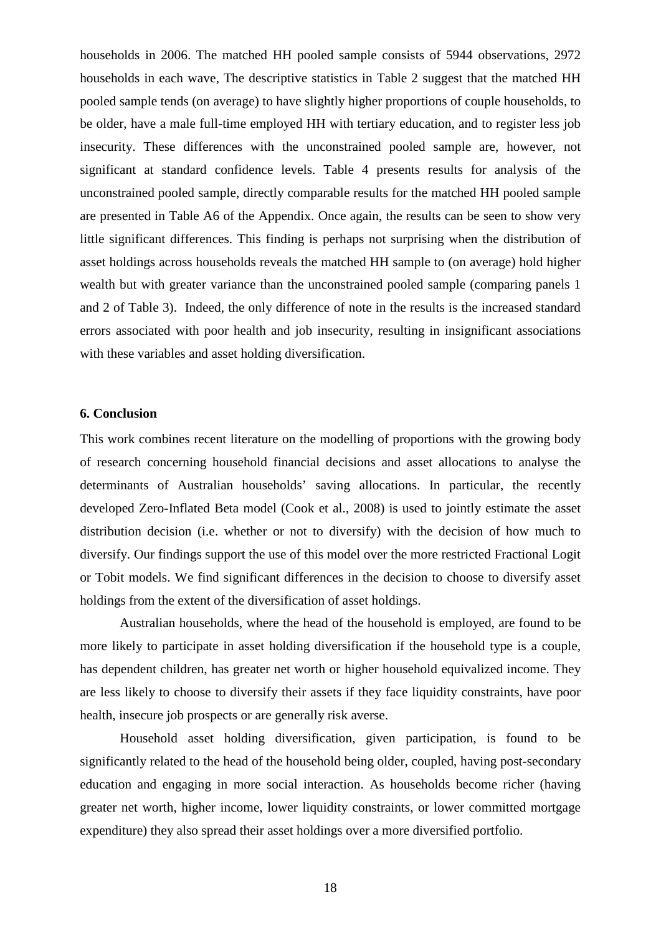households in 2006. The matched HH pooled sample consists of 5944 observations, 2972 households in each wave, The descriptive statistics in Table 2 suggest that the matched HH pooled sample tends (on average) to have slightly higher proportions of couple households, to be older, have a male full-time employed HH with tertiary education, and to register less job insecurity. These differences with the unconstrained pooled sample are, however, not significant at standard confidence levels. Table 4 presents results for analysis of the unconstrained pooled sample, directly comparable results for the matched HH pooled sample are presented in Table A6 of the Appendix. Once again, the results can be seen to show very little significant differences. This finding is perhaps not surprising when the distribution of asset holdings across households reveals the matched HH sample to (on average) hold higher wealth but with greater variance than the unconstrained pooled sample (comparing panels 1 and 2 of Table 3). Indeed, the only difference of note in the results is the increased standard errors associated with poor health and job insecurity, resulting in insignificant associations with these variables and asset holding diversification.

### **6. Conclusion**

This work combines recent literature on the modelling of proportions with the growing body of research concerning household financial decisions and asset allocations to analyse the determinants of Australian households' saving allocations. In particular, the recently developed Zero-Inflated Beta model (Cook et al., 2008) is used to jointly estimate the asset distribution decision (i.e. whether or not to diversify) with the decision of how much to diversify. Our findings support the use of this model over the more restricted Fractional Logit or Tobit models. We find significant differences in the decision to choose to diversify asset holdings from the extent of the diversification of asset holdings.

Australian households, where the head of the household is employed, are found to be more likely to participate in asset holding diversification if the household type is a couple, has dependent children, has greater net worth or higher household equivalized income. They are less likely to choose to diversify their assets if they face liquidity constraints, have poor health, insecure job prospects or are generally risk averse.

Household asset holding diversification, given participation, is found to be significantly related to the head of the household being older, coupled, having post-secondary education and engaging in more social interaction. As households become richer (having greater net worth, higher income, lower liquidity constraints, or lower committed mortgage expenditure) they also spread their asset holdings over a more diversified portfolio.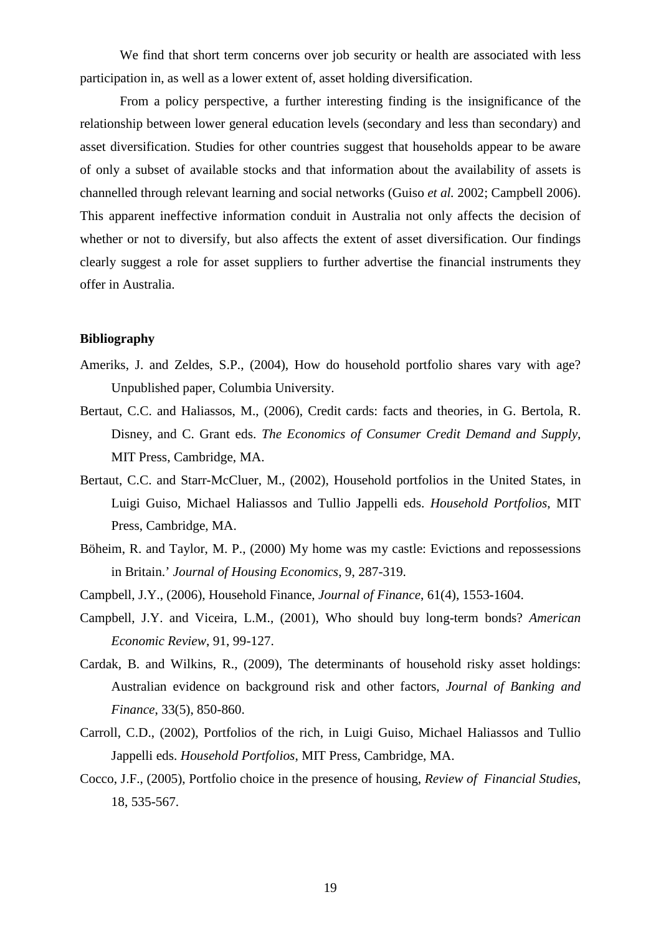We find that short term concerns over job security or health are associated with less participation in, as well as a lower extent of, asset holding diversification.

From a policy perspective, a further interesting finding is the insignificance of the relationship between lower general education levels (secondary and less than secondary) and asset diversification. Studies for other countries suggest that households appear to be aware of only a subset of available stocks and that information about the availability of assets is channelled through relevant learning and social networks (Guiso *et al.* 2002; Campbell 2006). This apparent ineffective information conduit in Australia not only affects the decision of whether or not to diversify, but also affects the extent of asset diversification. Our findings clearly suggest a role for asset suppliers to further advertise the financial instruments they offer in Australia.

# **Bibliography**

- Ameriks, J. and Zeldes, S.P., (2004), How do household portfolio shares vary with age? Unpublished paper, Columbia University.
- Bertaut, C.C. and Haliassos, M., (2006), Credit cards: facts and theories, in G. Bertola, R. Disney, and C. Grant eds. *The Economics of Consumer Credit Demand and Supply*, MIT Press, Cambridge, MA.
- Bertaut, C.C. and Starr-McCluer, M., (2002), Household portfolios in the United States, in Luigi Guiso, Michael Haliassos and Tullio Jappelli eds. *Household Portfolios*, MIT Press, Cambridge, MA.
- Böheim, R. and Taylor, M. P., (2000) My home was my castle: Evictions and repossessions in Britain.' *Journal of Housing Economics*, 9, 287-319.
- Campbell, J.Y., (2006), Household Finance, *Journal of Finance*, 61(4), 1553-1604.
- Campbell, J.Y. and Viceira, L.M., (2001), Who should buy long-term bonds? *American Economic Review*, 91, 99-127.
- Cardak, B. and Wilkins, R., (2009), The determinants of household risky asset holdings: Australian evidence on background risk and other factors, *Journal of Banking and Finance*, 33(5), 850-860.
- Carroll, C.D., (2002), Portfolios of the rich, in Luigi Guiso, Michael Haliassos and Tullio Jappelli eds. *Household Portfolios*, MIT Press, Cambridge, MA.
- Cocco, J.F., (2005), Portfolio choice in the presence of housing, *Review of Financial Studies*, 18, 535-567.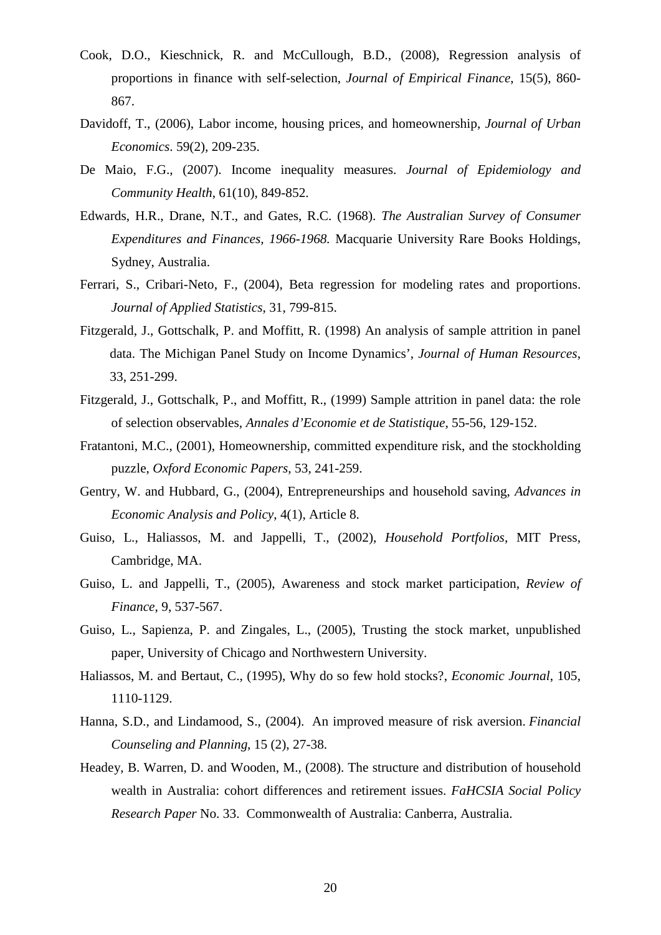- Cook, D.O., Kieschnick, R. and McCullough, B.D., (2008), Regression analysis of proportions in finance with self-selection, *Journal of Empirical Finance*, 15(5), 860- 867.
- Davidoff, T., (2006), Labor income, housing prices, and homeownership, *Journal of Urban Economics*. 59(2), 209-235.
- De Maio, F.G., (2007). Income inequality measures. *Journal of Epidemiology and Community Health*, 61(10), 849-852.
- Edwards, H.R., Drane, N.T., and Gates, R.C. (1968). *The Australian Survey of Consumer Expenditures and Finances, 1966-1968.* Macquarie University Rare Books Holdings, Sydney, Australia.
- Ferrari, S., Cribari-Neto, F., (2004), Beta regression for modeling rates and proportions. *Journal of Applied Statistics*, 31, 799-815.
- Fitzgerald, J., Gottschalk, P. and Moffitt, R. (1998) An analysis of sample attrition in panel data. The Michigan Panel Study on Income Dynamics', *Journal of Human Resources*, 33, 251-299.
- Fitzgerald, J., Gottschalk, P., and Moffitt, R., (1999) Sample attrition in panel data: the role of selection observables, *Annales d'Economie et de Statistique*, 55-56, 129-152.
- Fratantoni, M.C., (2001), Homeownership, committed expenditure risk, and the stockholding puzzle, *Oxford Economic Papers*, 53, 241-259.
- Gentry, W. and Hubbard, G., (2004), Entrepreneurships and household saving, *Advances in Economic Analysis and Policy*, 4(1), Article 8.
- Guiso, L., Haliassos, M. and Jappelli, T., (2002), *Household Portfolios,* MIT Press, Cambridge, MA.
- Guiso, L. and Jappelli, T., (2005), Awareness and stock market participation, *Review of Finance*, 9, 537-567.
- Guiso, L., Sapienza, P. and Zingales, L., (2005), Trusting the stock market, unpublished paper, University of Chicago and Northwestern University.
- Haliassos, M. and Bertaut, C., (1995), Why do so few hold stocks?, *Economic Journal*, 105, 1110-1129.
- Hanna, S.D., and Lindamood, S., (2004). An improved measure of risk aversion. *Financial Counseling and Planning*, 15 (2), 27-38.
- Headey, B. Warren, D. and Wooden, M., (2008). The structure and distribution of household wealth in Australia: cohort differences and retirement issues. *FaHCSIA Social Policy Research Paper* No. 33. Commonwealth of Australia: Canberra, Australia.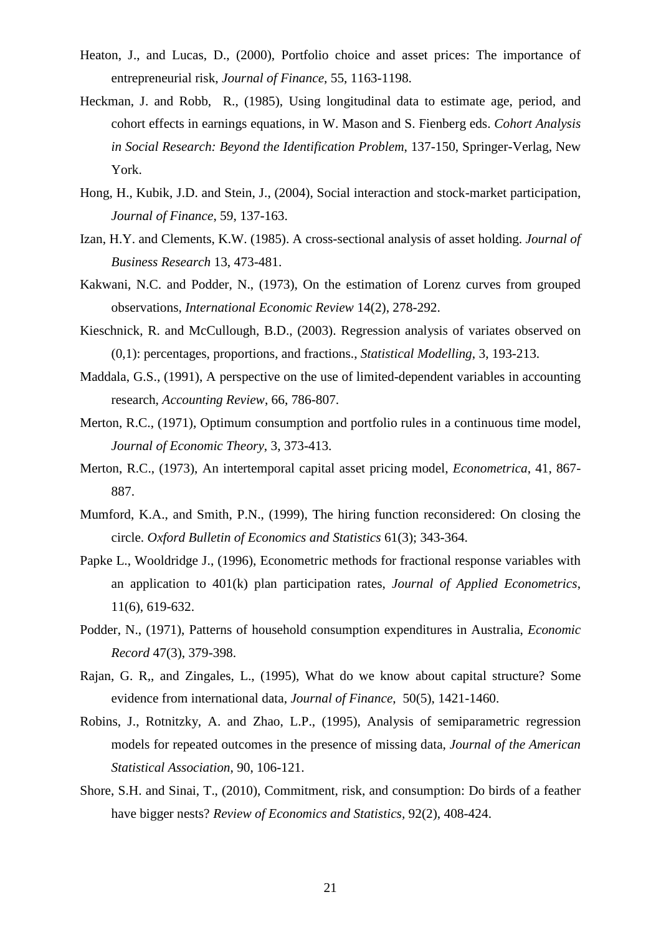- Heaton, J., and Lucas, D., (2000), Portfolio choice and asset prices: The importance of entrepreneurial risk, *Journal of Finance*, 55, 1163-1198.
- Heckman, J. and Robb, R., (1985), Using longitudinal data to estimate age, period, and cohort effects in earnings equations, in W. Mason and S. Fienberg eds. *Cohort Analysis in Social Research: Beyond the Identification Problem*, 137-150, Springer-Verlag, New York.
- Hong, H., Kubik, J.D. and Stein, J., (2004), Social interaction and stock-market participation, *Journal of Finance*, 59, 137-163.
- Izan, H.Y. and Clements, K.W. (1985). A cross-sectional analysis of asset holding. *Journal of Business Research* 13, 473-481.
- Kakwani, N.C. and Podder, N., (1973), On the estimation of Lorenz curves from grouped observations, *International Economic Review* 14(2), 278-292.
- Kieschnick, R. and McCullough, B.D., (2003). Regression analysis of variates observed on (0,1): percentages, proportions, and fractions., *Statistical Modelling*, 3, 193-213.
- Maddala, G.S., (1991), A perspective on the use of limited-dependent variables in accounting research, *Accounting Review*, 66, 786-807.
- Merton, R.C., (1971), Optimum consumption and portfolio rules in a continuous time model, *Journal of Economic Theory*, 3, 373-413.
- Merton, R.C., (1973), An intertemporal capital asset pricing model, *Econometrica*, 41, 867- 887.
- Mumford, K.A., and Smith, P.N., (1999), The hiring function reconsidered: On closing the circle. *Oxford Bulletin of Economics and Statistics* 61(3); 343-364.
- Papke L., Wooldridge J., (1996), Econometric methods for fractional response variables with an application to 401(k) plan participation rates, *Journal of Applied Econometrics*, 11(6), 619-632.
- Podder, N., (1971), Patterns of household consumption expenditures in Australia, *Economic Record* 47(3), 379-398.
- Rajan, G. R,, and Zingales, L., (1995), What do we know about capital structure? Some evidence from international data, *Journal of Finance*, 50(5), 1421-1460.
- Robins, J., Rotnitzky, A. and Zhao, L.P., (1995), Analysis of semiparametric regression models for repeated outcomes in the presence of missing data, *Journal of the American Statistical Association*, 90, 106-121.
- Shore, S.H. and Sinai, T., (2010), Commitment, risk, and consumption: Do birds of a feather have bigger nests? *Review of Economics and Statistics,* 92(2), 408-424.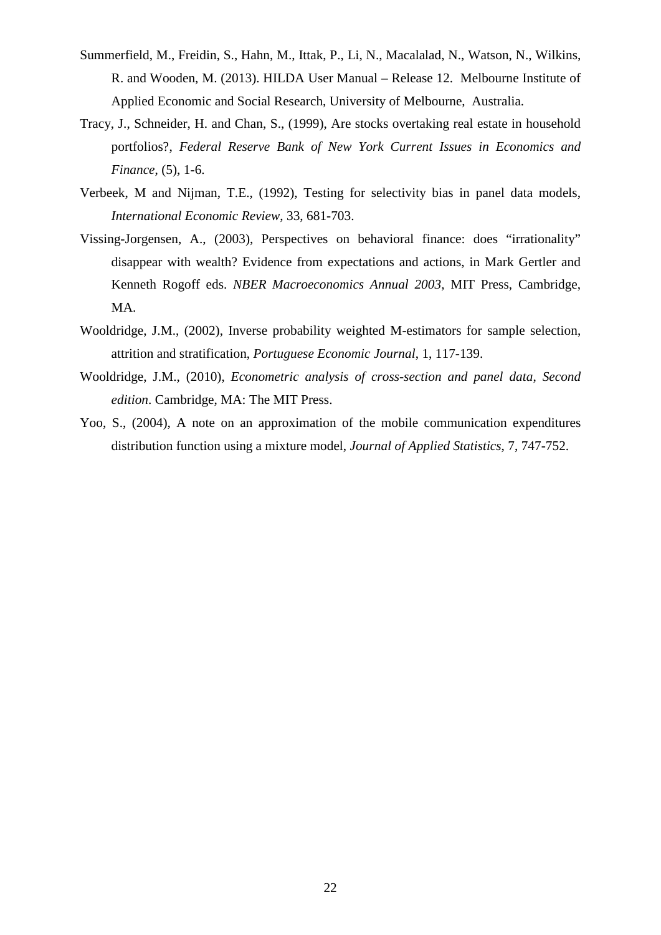- Summerfield, M., Freidin, S., Hahn, M., Ittak, P., Li, N., Macalalad, N., Watson, N., Wilkins, R. and Wooden, M. (2013). HILDA User Manual – Release 12. Melbourne Institute of Applied Economic and Social Research, University of Melbourne, Australia.
- Tracy, J., Schneider, H. and Chan, S., (1999), Are stocks overtaking real estate in household portfolios?, *Federal Reserve Bank of New York Current Issues in Economics and Finance*, (5), 1-6.
- Verbeek, M and Nijman, T.E., (1992), Testing for selectivity bias in panel data models, *International Economic Review*, 33, 681-703.
- Vissing-Jorgensen, A., (2003), Perspectives on behavioral finance: does "irrationality" disappear with wealth? Evidence from expectations and actions, in Mark Gertler and Kenneth Rogoff eds. *NBER Macroeconomics Annual 2003,* MIT Press, Cambridge, MA.
- Wooldridge, J.M., (2002), Inverse probability weighted M-estimators for sample selection, attrition and stratification, *Portuguese Economic Journal*, 1, 117-139.
- Wooldridge, J.M., (2010), *Econometric analysis of cross-section and panel data*, *Second edition*. Cambridge, MA: The MIT Press.
- Yoo, S., (2004), A note on an approximation of the mobile communication expenditures distribution function using a mixture model, *Journal of Applied Statistics*, 7, 747-752.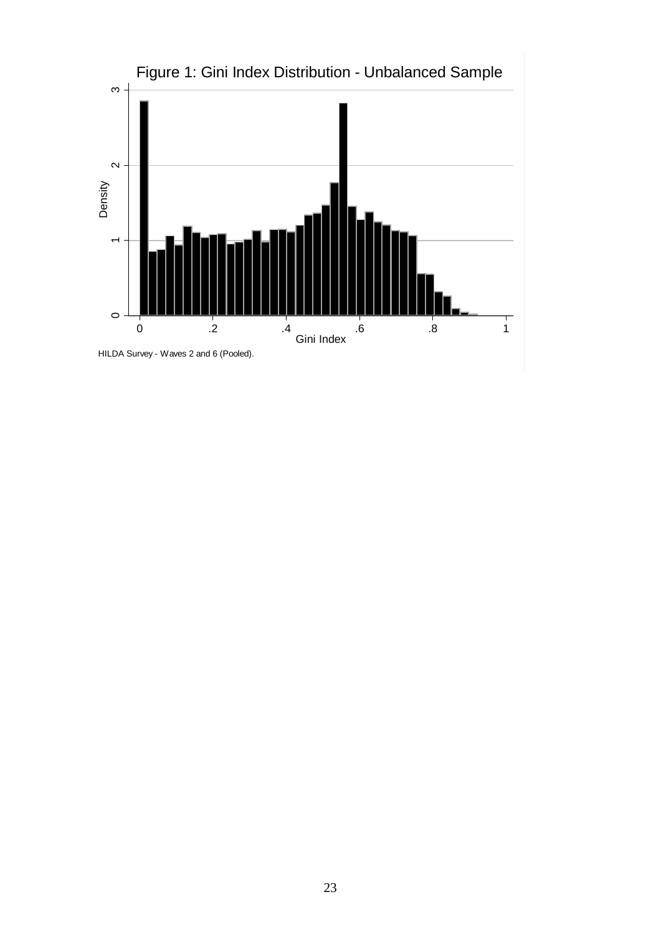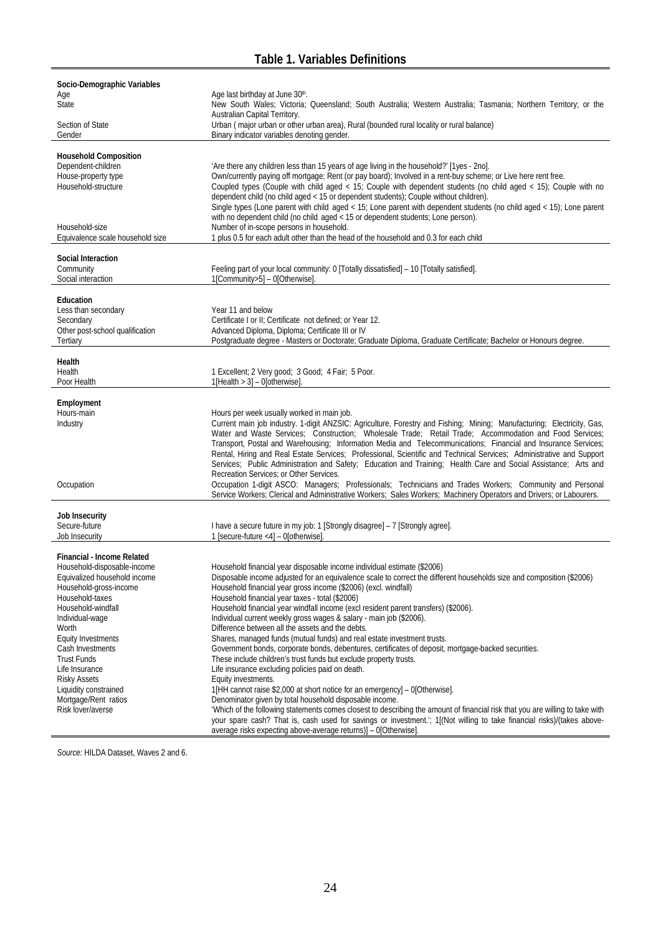| Socio-Demographic Variables        |                                                                                                                                     |
|------------------------------------|-------------------------------------------------------------------------------------------------------------------------------------|
| Age                                | Age last birthday at June 30th.                                                                                                     |
| <b>State</b>                       | New South Wales; Victoria; Queensland; South Australia; Western Australia; Tasmania; Northern Territory; or the                     |
|                                    | Australian Capital Territory.                                                                                                       |
| Section of State                   | Urban (major urban or other urban area), Rural (bounded rural locality or rural balance)                                            |
| Gender                             | Binary indicator variables denoting gender.                                                                                         |
|                                    |                                                                                                                                     |
| <b>Household Composition</b>       |                                                                                                                                     |
| Dependent-children                 | 'Are there any children less than 15 years of age living in the household?' [1yes - 2no].                                           |
| House-property type                | Own/currently paying off mortgage; Rent (or pay board); Involved in a rent-buy scheme; or Live here rent free.                      |
| Household-structure                | Coupled types (Couple with child aged < 15; Couple with dependent students (no child aged < 15); Couple with no                     |
|                                    | dependent child (no child aged < 15 or dependent students); Couple without children).                                               |
|                                    | Single types (Lone parent with child aged < 15; Lone parent with dependent students (no child aged < 15); Lone parent               |
|                                    | with no dependent child (no child aged < 15 or dependent students; Lone person).                                                    |
| Household-size                     | Number of in-scope persons in household.                                                                                            |
| Equivalence scale household size   | 1 plus 0.5 for each adult other than the head of the household and 0.3 for each child                                               |
|                                    |                                                                                                                                     |
| Social Interaction                 |                                                                                                                                     |
| Community                          | Feeling part of your local community: 0 [Totally dissatisfied] - 10 [Totally satisfied].                                            |
| Social interaction                 | 1[Community>5] - 0[Otherwise].                                                                                                      |
|                                    |                                                                                                                                     |
| Education                          |                                                                                                                                     |
| Less than secondary                | Year 11 and below                                                                                                                   |
| Secondary                          | Certificate I or II; Certificate not defined; or Year 12.                                                                           |
| Other post-school qualification    | Advanced Diploma, Diploma; Certificate III or IV                                                                                    |
| Tertiary                           | Postgraduate degree - Masters or Doctorate; Graduate Diploma, Graduate Certificate; Bachelor or Honours degree.                     |
| Health                             |                                                                                                                                     |
| Health                             |                                                                                                                                     |
| Poor Health                        | 1 Excellent; 2 Very good; 3 Good; 4 Fair; 5 Poor.<br>$1$ [Health > 3] - 0[otherwise].                                               |
|                                    |                                                                                                                                     |
| Employment                         |                                                                                                                                     |
| Hours-main                         | Hours per week usually worked in main job.                                                                                          |
| Industry                           | Current main job industry. 1-digit ANZSIC: Agriculture, Forestry and Fishing; Mining; Manufacturing; Electricity, Gas,              |
|                                    | Water and Waste Services; Construction; Wholesale Trade; Retail Trade; Accommodation and Food Services;                             |
|                                    | Transport, Postal and Warehousing; Information Media and Telecommunications; Financial and Insurance Services;                      |
|                                    | Rental, Hiring and Real Estate Services; Professional, Scientific and Technical Services; Administrative and Support                |
|                                    | Services; Public Administration and Safety; Education and Training; Health Care and Social Assistance; Arts and                     |
|                                    | Recreation Services; or Other Services.                                                                                             |
| Occupation                         | Occupation 1-digit ASCO: Managers; Professionals; Technicians and Trades Workers; Community and Personal                            |
|                                    | Service Workers; Clerical and Administrative Workers; Sales Workers; Machinery Operators and Drivers; or Labourers.                 |
|                                    |                                                                                                                                     |
| Job Insecurity                     |                                                                                                                                     |
| Secure-future                      | I have a secure future in my job: 1 [Strongly disagree] - 7 [Strongly agree].                                                       |
| Job Insecurity                     | 1 [secure-future <4] - 0[otherwise].                                                                                                |
|                                    |                                                                                                                                     |
| Financial - Income Related         |                                                                                                                                     |
| Household-disposable-income        | Household financial year disposable income individual estimate (\$2006)                                                             |
| Equivalized household income       | Disposable income adjusted for an equivalence scale to correct the different households size and composition (\$2006)               |
| Household-gross-income             | Household financial year gross income (\$2006) (excl. windfall)                                                                     |
| Household-taxes                    | Household financial year taxes - total (\$2006)                                                                                     |
| Household-windfall                 | Household financial year windfall income (excl resident parent transfers) (\$2006).                                                 |
| Individual-wage                    | Individual current weekly gross wages & salary - main job (\$2006).                                                                 |
| Worth<br><b>Equity Investments</b> | Difference between all the assets and the debts.<br>Shares, managed funds (mutual funds) and real estate investment trusts.         |
| Cash Investments                   | Government bonds, corporate bonds, debentures, certificates of deposit, mortgage-backed securities.                                 |
| <b>Trust Funds</b>                 | These include children's trust funds but exclude property trusts.                                                                   |
| Life Insurance                     | Life insurance excluding policies paid on death.                                                                                    |
| <b>Risky Assets</b>                | Equity investments.                                                                                                                 |
| Liquidity constrained              | 1[HH cannot raise \$2,000 at short notice for an emergency] - 0[Otherwise].                                                         |
| Mortgage/Rent ratios               | Denominator given by total household disposable income.                                                                             |
| Risk lover/averse                  | 'Which of the following statements comes closest to describing the amount of financial risk that you are willing to take with       |
|                                    | your spare cash? That is, cash used for savings or investment. <sup>1</sup> ; 1[(Not willing to take financial risks)/(takes above- |
|                                    | average risks expecting above-average returns)] - 0[Otherwise]                                                                      |
|                                    |                                                                                                                                     |

*Source:* HILDA Dataset, Waves 2 and 6.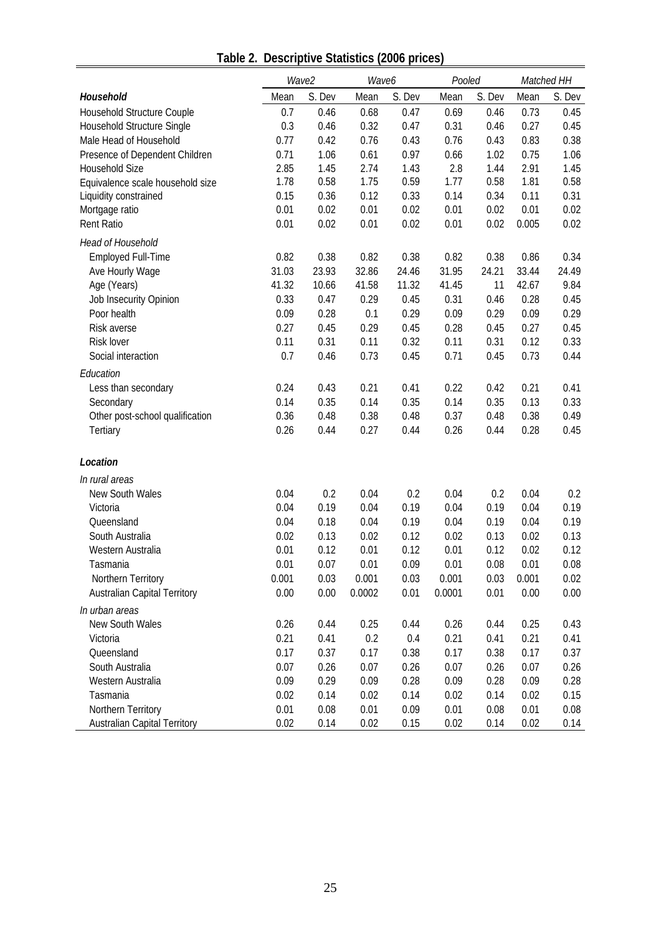|                                     |              | Wave2  | Wave6  |        | Pooled |        |       | Matched HH   |
|-------------------------------------|--------------|--------|--------|--------|--------|--------|-------|--------------|
| Household                           | Mean         | S. Dev | Mean   | S. Dev | Mean   | S. Dev | Mean  | S. Dev       |
| Household Structure Couple          | 0.7          | 0.46   | 0.68   | 0.47   | 0.69   | 0.46   | 0.73  | 0.45         |
| Household Structure Single          | 0.3          | 0.46   | 0.32   | 0.47   | 0.31   | 0.46   | 0.27  | 0.45         |
| Male Head of Household              | 0.77         | 0.42   | 0.76   | 0.43   | 0.76   | 0.43   | 0.83  | 0.38         |
| Presence of Dependent Children      | 0.71         | 1.06   | 0.61   | 0.97   | 0.66   | 1.02   | 0.75  | 1.06         |
| Household Size                      | 2.85         | 1.45   | 2.74   | 1.43   | 2.8    | 1.44   | 2.91  | 1.45         |
| Equivalence scale household size    | 1.78         | 0.58   | 1.75   | 0.59   | 1.77   | 0.58   | 1.81  | 0.58         |
| Liquidity constrained               | 0.15         | 0.36   | 0.12   | 0.33   | 0.14   | 0.34   | 0.11  | 0.31         |
| Mortgage ratio                      | 0.01         | 0.02   | 0.01   | 0.02   | 0.01   | 0.02   | 0.01  | 0.02         |
| Rent Ratio                          | 0.01         | 0.02   | 0.01   | 0.02   | 0.01   | 0.02   | 0.005 | 0.02         |
| Head of Household                   |              |        |        |        |        |        |       |              |
| <b>Employed Full-Time</b>           | 0.82         | 0.38   | 0.82   | 0.38   | 0.82   | 0.38   | 0.86  | 0.34         |
| Ave Hourly Wage                     | 31.03        | 23.93  | 32.86  | 24.46  | 31.95  | 24.21  | 33.44 | 24.49        |
| Age (Years)                         | 41.32        | 10.66  | 41.58  | 11.32  | 41.45  | 11     | 42.67 | 9.84         |
| Job Insecurity Opinion              | 0.33         | 0.47   | 0.29   | 0.45   | 0.31   | 0.46   | 0.28  | 0.45         |
| Poor health                         | 0.09         | 0.28   | 0.1    | 0.29   | 0.09   | 0.29   | 0.09  | 0.29         |
| Risk averse                         | 0.27         | 0.45   | 0.29   | 0.45   | 0.28   | 0.45   | 0.27  | 0.45         |
| Risk lover                          | 0.11         | 0.31   | 0.11   | 0.32   | 0.11   | 0.31   | 0.12  | 0.33         |
| Social interaction                  | 0.7          | 0.46   | 0.73   | 0.45   | 0.71   | 0.45   | 0.73  | 0.44         |
| Education                           |              |        |        |        |        |        |       |              |
| Less than secondary                 | 0.24         | 0.43   | 0.21   | 0.41   | 0.22   | 0.42   | 0.21  | 0.41         |
| Secondary                           | 0.14         | 0.35   | 0.14   | 0.35   | 0.14   | 0.35   | 0.13  | 0.33         |
| Other post-school qualification     | 0.36         | 0.48   | 0.38   | 0.48   | 0.37   | 0.48   | 0.38  | 0.49         |
| Tertiary                            | 0.26         | 0.44   | 0.27   | 0.44   | 0.26   | 0.44   | 0.28  | 0.45         |
| Location                            |              |        |        |        |        |        |       |              |
| In rural areas                      |              |        |        |        |        |        |       |              |
| New South Wales                     | 0.04         | 0.2    | 0.04   | 0.2    | 0.04   | 0.2    | 0.04  | 0.2          |
| Victoria                            | 0.04         | 0.19   | 0.04   | 0.19   | 0.04   | 0.19   | 0.04  | 0.19         |
| Queensland                          | 0.04         | 0.18   | 0.04   | 0.19   | 0.04   | 0.19   | 0.04  | 0.19         |
| South Australia                     | 0.02         | 0.13   | 0.02   | 0.12   | 0.02   | 0.13   | 0.02  | 0.13         |
| Western Australia                   | 0.01         | 0.12   | 0.01   | 0.12   | 0.01   | 0.12   | 0.02  | 0.12         |
| Tasmania                            | 0.01         | 0.07   | 0.01   | 0.09   | 0.01   | 0.08   | 0.01  | 0.08         |
| Northern Territory                  | 0.001        | 0.03   | 0.001  | 0.03   | 0.001  | 0.03   | 0.001 | 0.02         |
| <b>Australian Capital Territory</b> | 0.00         | 0.00   | 0.0002 | 0.01   | 0.0001 | 0.01   | 0.00  | 0.00         |
| In urban areas                      |              |        |        |        |        |        |       |              |
| New South Wales                     | 0.26         |        |        |        |        |        |       |              |
|                                     |              | 0.44   | 0.25   | 0.44   | 0.26   | 0.44   | 0.25  | 0.43         |
| Victoria<br>Queensland              | 0.21<br>0.17 | 0.41   | 0.2    | 0.4    | 0.21   | 0.41   | 0.21  | 0.41<br>0.37 |
| South Australia                     |              | 0.37   | 0.17   | 0.38   | 0.17   | 0.38   | 0.17  |              |
|                                     | 0.07         | 0.26   | 0.07   | 0.26   | 0.07   | 0.26   | 0.07  | 0.26         |
| Western Australia                   | 0.09         | 0.29   | 0.09   | 0.28   | 0.09   | 0.28   | 0.09  | 0.28         |
| Tasmania                            | 0.02         | 0.14   | 0.02   | 0.14   | 0.02   | 0.14   | 0.02  | 0.15         |
| Northern Territory                  | 0.01         | 0.08   | 0.01   | 0.09   | 0.01   | 0.08   | 0.01  | 0.08         |
| <b>Australian Capital Territory</b> | 0.02         | 0.14   | 0.02   | 0.15   | 0.02   | 0.14   | 0.02  | 0.14         |

**Table 2. Descriptive Statistics (2006 prices)**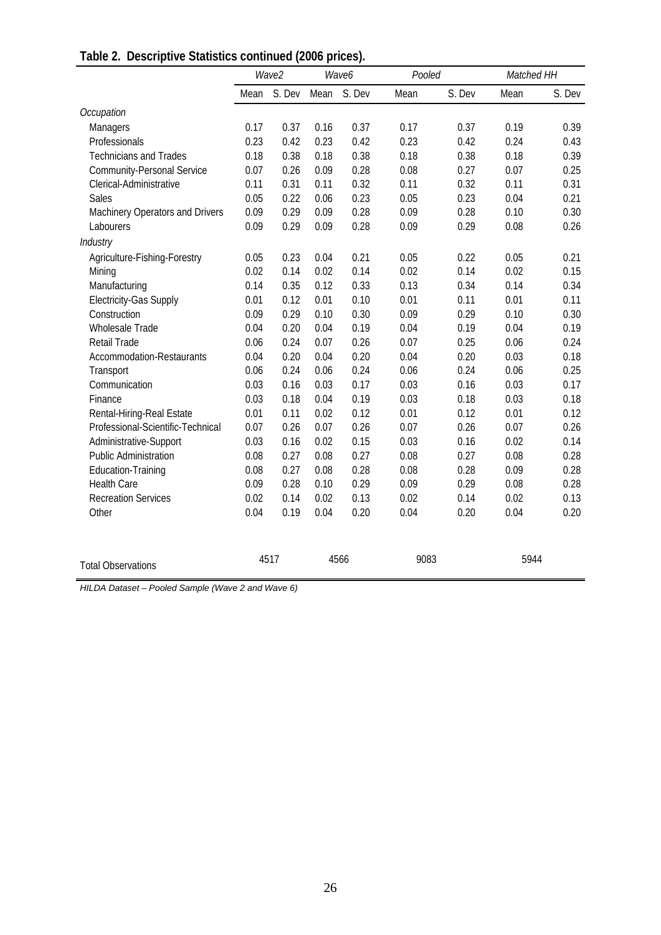|  | Table 2. Descriptive Statistics continued (2006 prices). |  |
|--|----------------------------------------------------------|--|
|--|----------------------------------------------------------|--|

|                                   | Wave2<br>Wave6 |        |      | Pooled |      | Matched HH |      |        |
|-----------------------------------|----------------|--------|------|--------|------|------------|------|--------|
|                                   | Mean           | S. Dev | Mean | S. Dev | Mean | S. Dev     | Mean | S. Dev |
| Occupation                        |                |        |      |        |      |            |      |        |
| Managers                          | 0.17           | 0.37   | 0.16 | 0.37   | 0.17 | 0.37       | 0.19 | 0.39   |
| Professionals                     | 0.23           | 0.42   | 0.23 | 0.42   | 0.23 | 0.42       | 0.24 | 0.43   |
| <b>Technicians and Trades</b>     | 0.18           | 0.38   | 0.18 | 0.38   | 0.18 | 0.38       | 0.18 | 0.39   |
| <b>Community-Personal Service</b> | 0.07           | 0.26   | 0.09 | 0.28   | 0.08 | 0.27       | 0.07 | 0.25   |
| Clerical-Administrative           | 0.11           | 0.31   | 0.11 | 0.32   | 0.11 | 0.32       | 0.11 | 0.31   |
| <b>Sales</b>                      | 0.05           | 0.22   | 0.06 | 0.23   | 0.05 | 0.23       | 0.04 | 0.21   |
| Machinery Operators and Drivers   | 0.09           | 0.29   | 0.09 | 0.28   | 0.09 | 0.28       | 0.10 | 0.30   |
| Labourers                         | 0.09           | 0.29   | 0.09 | 0.28   | 0.09 | 0.29       | 0.08 | 0.26   |
| <b>Industry</b>                   |                |        |      |        |      |            |      |        |
| Agriculture-Fishing-Forestry      | 0.05           | 0.23   | 0.04 | 0.21   | 0.05 | 0.22       | 0.05 | 0.21   |
| Mining                            | 0.02           | 0.14   | 0.02 | 0.14   | 0.02 | 0.14       | 0.02 | 0.15   |
| Manufacturing                     | 0.14           | 0.35   | 0.12 | 0.33   | 0.13 | 0.34       | 0.14 | 0.34   |
| <b>Electricity-Gas Supply</b>     | 0.01           | 0.12   | 0.01 | 0.10   | 0.01 | 0.11       | 0.01 | 0.11   |
| Construction                      | 0.09           | 0.29   | 0.10 | 0.30   | 0.09 | 0.29       | 0.10 | 0.30   |
| Wholesale Trade                   | 0.04           | 0.20   | 0.04 | 0.19   | 0.04 | 0.19       | 0.04 | 0.19   |
| <b>Retail Trade</b>               | 0.06           | 0.24   | 0.07 | 0.26   | 0.07 | 0.25       | 0.06 | 0.24   |
| <b>Accommodation-Restaurants</b>  | 0.04           | 0.20   | 0.04 | 0.20   | 0.04 | 0.20       | 0.03 | 0.18   |
| Transport                         | 0.06           | 0.24   | 0.06 | 0.24   | 0.06 | 0.24       | 0.06 | 0.25   |
| Communication                     | 0.03           | 0.16   | 0.03 | 0.17   | 0.03 | 0.16       | 0.03 | 0.17   |
| Finance                           | 0.03           | 0.18   | 0.04 | 0.19   | 0.03 | 0.18       | 0.03 | 0.18   |
| Rental-Hiring-Real Estate         | 0.01           | 0.11   | 0.02 | 0.12   | 0.01 | 0.12       | 0.01 | 0.12   |
| Professional-Scientific-Technical | 0.07           | 0.26   | 0.07 | 0.26   | 0.07 | 0.26       | 0.07 | 0.26   |
| Administrative-Support            | 0.03           | 0.16   | 0.02 | 0.15   | 0.03 | 0.16       | 0.02 | 0.14   |
| <b>Public Administration</b>      | 0.08           | 0.27   | 0.08 | 0.27   | 0.08 | 0.27       | 0.08 | 0.28   |
| <b>Education-Training</b>         | 0.08           | 0.27   | 0.08 | 0.28   | 0.08 | 0.28       | 0.09 | 0.28   |
| <b>Health Care</b>                | 0.09           | 0.28   | 0.10 | 0.29   | 0.09 | 0.29       | 0.08 | 0.28   |
| <b>Recreation Services</b>        | 0.02           | 0.14   | 0.02 | 0.13   | 0.02 | 0.14       | 0.02 | 0.13   |
| Other                             | 0.04           | 0.19   | 0.04 | 0.20   | 0.04 | 0.20       | 0.04 | 0.20   |
|                                   |                |        |      |        |      |            |      |        |
| <b>Total Observations</b>         |                | 4517   |      | 4566   | 9083 |            | 5944 |        |

*HILDA Dataset – Pooled Sample (Wave 2 and Wave 6)*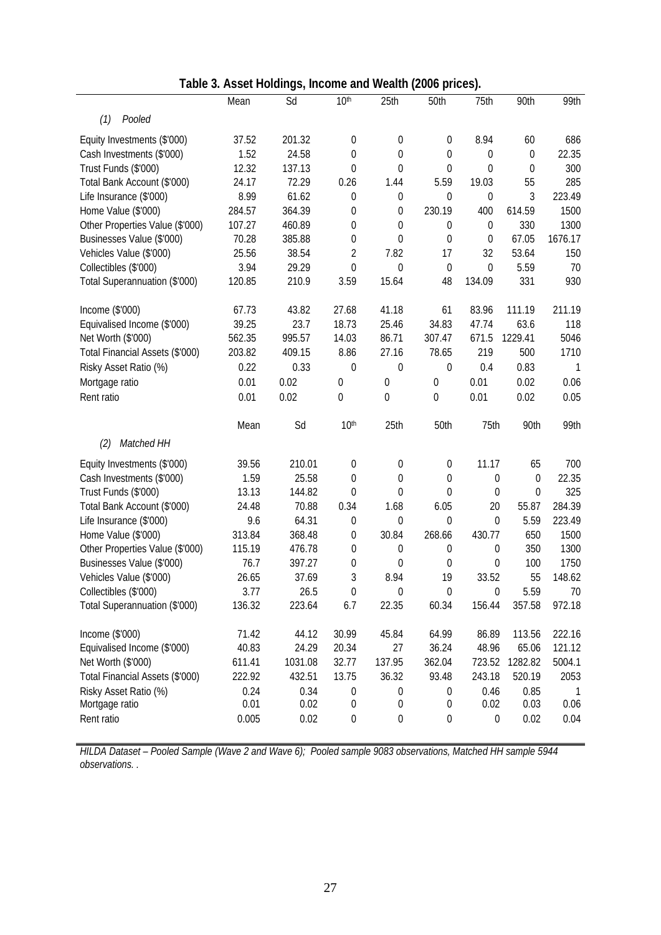|                                 | able 5. Asset Holdings, income and wealth (2000 phoes). |         |                  |                  |                  |                  |                  |         |
|---------------------------------|---------------------------------------------------------|---------|------------------|------------------|------------------|------------------|------------------|---------|
|                                 | Mean                                                    | Sd      | 10 <sup>th</sup> | 25th             | 50th             | 75th             | 90th             | 99th    |
| (1)<br>Pooled                   |                                                         |         |                  |                  |                  |                  |                  |         |
| Equity Investments (\$'000)     | 37.52                                                   | 201.32  | $\mathbf 0$      | $\boldsymbol{0}$ | 0                | 8.94             | 60               | 686     |
| Cash Investments (\$'000)       | 1.52                                                    | 24.58   | $\mathbf 0$      | $\mathbf 0$      | $\mathbf 0$      | 0                | $\boldsymbol{0}$ | 22.35   |
| Trust Funds (\$'000)            | 12.32                                                   | 137.13  | 0                | $\mathbf 0$      | $\mathbf 0$      | 0                | 0                | 300     |
| Total Bank Account (\$'000)     | 24.17                                                   | 72.29   | 0.26             | 1.44             | 5.59             | 19.03            | 55               | 285     |
| Life Insurance (\$'000)         | 8.99                                                    | 61.62   | 0                | $\boldsymbol{0}$ | 0                | $\boldsymbol{0}$ | 3                | 223.49  |
| Home Value (\$'000)             | 284.57                                                  | 364.39  | 0                | $\boldsymbol{0}$ | 230.19           | 400              | 614.59           | 1500    |
| Other Properties Value (\$'000) | 107.27                                                  | 460.89  | 0                | $\boldsymbol{0}$ | $\mathbf 0$      | $\boldsymbol{0}$ | 330              | 1300    |
| Businesses Value (\$'000)       | 70.28                                                   | 385.88  | 0                | 0                | $\mathbf 0$      | $\boldsymbol{0}$ | 67.05            | 1676.17 |
| Vehicles Value (\$'000)         | 25.56                                                   | 38.54   | $\overline{2}$   | 7.82             | 17               | 32               | 53.64            | 150     |
| Collectibles (\$'000)           | 3.94                                                    | 29.29   | 0                | $\theta$         | $\mathbf 0$      | 0                | 5.59             | 70      |
| Total Superannuation (\$'000)   | 120.85                                                  | 210.9   | 3.59             | 15.64            | 48               | 134.09           | 331              | 930     |
| Income (\$'000)                 | 67.73                                                   | 43.82   | 27.68            | 41.18            | 61               | 83.96            | 111.19           | 211.19  |
| Equivalised Income (\$'000)     | 39.25                                                   | 23.7    | 18.73            | 25.46            | 34.83            | 47.74            | 63.6             | 118     |
| Net Worth (\$'000)              | 562.35                                                  | 995.57  | 14.03            | 86.71            | 307.47           | 671.5            | 1229.41          | 5046    |
| Total Financial Assets (\$'000) | 203.82                                                  | 409.15  | 8.86             | 27.16            | 78.65            | 219              | 500              | 1710    |
| Risky Asset Ratio (%)           | 0.22                                                    | 0.33    | 0                | $\mathbf 0$      | 0                | 0.4              | 0.83             | 1       |
| Mortgage ratio                  | 0.01                                                    | 0.02    | $\mathbf 0$      | $\mathbf 0$      | $\boldsymbol{0}$ | 0.01             | 0.02             | 0.06    |
| Rent ratio                      | 0.01                                                    | 0.02    | 0                | 0                | 0                | 0.01             | 0.02             | 0.05    |
|                                 |                                                         |         |                  |                  |                  |                  |                  |         |
|                                 | Mean                                                    | Sd      | 10 <sup>th</sup> | 25th             | 50th             | 75th             | 90th             | 99th    |
| Matched HH<br>(2)               |                                                         |         |                  |                  |                  |                  |                  |         |
| Equity Investments (\$'000)     | 39.56                                                   | 210.01  | $\mathbf 0$      | $\boldsymbol{0}$ | 0                | 11.17            | 65               | 700     |
| Cash Investments (\$'000)       | 1.59                                                    | 25.58   | 0                | 0                | 0                | 0                | $\mathbf 0$      | 22.35   |
| Trust Funds (\$'000)            | 13.13                                                   | 144.82  | 0                | $\mathbf 0$      | $\boldsymbol{0}$ | 0                | $\mathbf 0$      | 325     |
| Total Bank Account (\$'000)     | 24.48                                                   | 70.88   | 0.34             | 1.68             | 6.05             | 20               | 55.87            | 284.39  |
| Life Insurance (\$'000)         | 9.6                                                     | 64.31   | 0                | $\mathbf 0$      | $\mathbf 0$      | $\overline{0}$   | 5.59             | 223.49  |
| Home Value (\$'000)             | 313.84                                                  | 368.48  | 0                | 30.84            | 268.66           | 430.77           | 650              | 1500    |
| Other Properties Value (\$'000) | 115.19                                                  | 476.78  | 0                | $\boldsymbol{0}$ | $\mathbf 0$      | $\mathbf 0$      | 350              | 1300    |
| Businesses Value (\$'000)       | 76.7                                                    | 397.27  | 0                | $\mathbf 0$      | $\mathbf 0$      | $\overline{0}$   | 100              | 1750    |
| Vehicles Value (\$'000)         | 26.65                                                   | 37.69   | 3                | 8.94             | 19               | 33.52            | 55               | 148.62  |
| Collectibles (\$'000)           | 3.77                                                    | 26.5    | $\boldsymbol{0}$ | $\boldsymbol{0}$ | $\mathbf 0$      | $\mathbf 0$      | 5.59             | 70      |
| Total Superannuation (\$'000)   | 136.32                                                  | 223.64  | 6.7              | 22.35            | 60.34            | 156.44           | 357.58           | 972.18  |
| Income (\$'000)                 | 71.42                                                   | 44.12   | 30.99            | 45.84            | 64.99            | 86.89            | 113.56           | 222.16  |
| Equivalised Income (\$'000)     | 40.83                                                   | 24.29   | 20.34            | 27               | 36.24            | 48.96            | 65.06            | 121.12  |
| Net Worth (\$'000)              | 611.41                                                  | 1031.08 | 32.77            | 137.95           | 362.04           | 723.52           | 1282.82          | 5004.1  |
| Total Financial Assets (\$'000) | 222.92                                                  | 432.51  | 13.75            | 36.32            | 93.48            | 243.18           | 520.19           | 2053    |
| Risky Asset Ratio (%)           | 0.24                                                    | 0.34    | 0                | $\boldsymbol{0}$ | 0                | 0.46             | 0.85             | -1      |
| Mortgage ratio                  | 0.01                                                    | 0.02    | 0                | 0                | 0                | 0.02             | 0.03             | 0.06    |
| Rent ratio                      | 0.005                                                   | 0.02    | $\boldsymbol{0}$ | 0                | 0                | $\boldsymbol{0}$ | 0.02             | 0.04    |
|                                 |                                                         |         |                  |                  |                  |                  |                  |         |

**Table 3. Asset Holdings, Income and Wealth (2006 prices).**

*HILDA Dataset – Pooled Sample (Wave 2 and Wave 6); Pooled sample 9083 observations, Matched HH sample 5944 observations. .*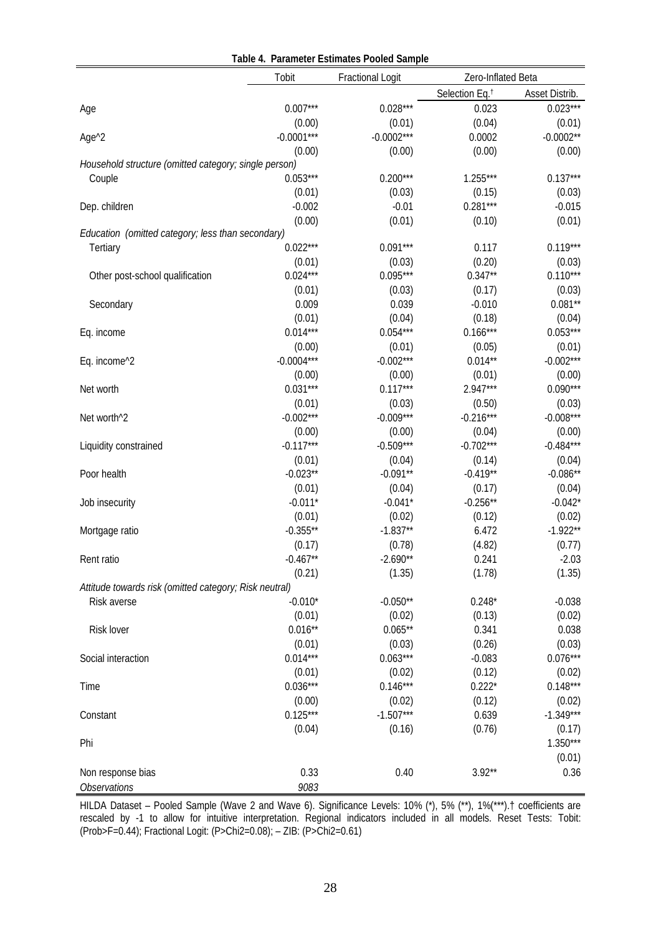|                                                        |              | Table 4. Parameter Estimates Pooled Sample |                            |                |
|--------------------------------------------------------|--------------|--------------------------------------------|----------------------------|----------------|
|                                                        | Tobit        | <b>Fractional Logit</b>                    | Zero-Inflated Beta         |                |
|                                                        |              |                                            | Selection Eq. <sup>†</sup> | Asset Distrib. |
| Age                                                    | $0.007***$   | $0.028***$                                 | 0.023                      | $0.023***$     |
|                                                        | (0.00)       | (0.01)                                     | (0.04)                     | (0.01)         |
| Age <sup>^2</sup>                                      | $-0.0001***$ | $-0.0002***$                               | 0.0002                     | $-0.0002**$    |
|                                                        | (0.00)       | (0.00)                                     | (0.00)                     | (0.00)         |
| Household structure (omitted category; single person)  |              |                                            |                            |                |
| Couple                                                 | $0.053***$   | $0.200***$                                 | $1.255***$                 | $0.137***$     |
|                                                        | (0.01)       | (0.03)                                     | (0.15)                     | (0.03)         |
| Dep. children                                          | $-0.002$     | $-0.01$                                    | $0.281***$                 | $-0.015$       |
|                                                        | (0.00)       | (0.01)                                     | (0.10)                     | (0.01)         |
| Education (omitted category; less than secondary)      |              |                                            |                            |                |
| Tertiary                                               | $0.022***$   | $0.091***$                                 | 0.117                      | $0.119***$     |
|                                                        | (0.01)       | (0.03)                                     | (0.20)                     | (0.03)         |
| Other post-school qualification                        | $0.024***$   | $0.095***$                                 | $0.347**$                  | $0.110***$     |
|                                                        | (0.01)       | (0.03)                                     | (0.17)                     | (0.03)         |
| Secondary                                              | 0.009        | 0.039                                      | $-0.010$                   | $0.081**$      |
|                                                        | (0.01)       | (0.04)                                     | (0.18)                     | (0.04)         |
| Eq. income                                             | $0.014***$   | $0.054***$                                 | $0.166***$                 | $0.053***$     |
|                                                        | (0.00)       | (0.01)                                     | (0.05)                     | (0.01)         |
| Eq. income^2                                           | $-0.0004***$ | $-0.002***$                                | $0.014**$                  | $-0.002***$    |
|                                                        | (0.00)       | (0.00)                                     | (0.01)                     | (0.00)         |
| Net worth                                              | $0.031***$   | $0.117***$                                 | $2.947***$                 | $0.090***$     |
|                                                        | (0.01)       | (0.03)                                     | (0.50)                     | (0.03)         |
| Net worth <sup>^2</sup>                                | $-0.002***$  | $-0.009***$                                | $-0.216***$                | $-0.008***$    |
|                                                        | (0.00)       | (0.00)                                     | (0.04)                     | (0.00)         |
| Liquidity constrained                                  | $-0.117***$  | $-0.509***$                                | $-0.702***$                | $-0.484***$    |
|                                                        | (0.01)       | (0.04)                                     | (0.14)                     | (0.04)         |
| Poor health                                            | $-0.023**$   | $-0.091**$                                 | $-0.419**$                 | $-0.086**$     |
|                                                        | (0.01)       | (0.04)                                     | (0.17)                     | (0.04)         |
| Job insecurity                                         | $-0.011*$    | $-0.041*$                                  | $-0.256**$                 | $-0.042*$      |
|                                                        | (0.01)       | (0.02)                                     | (0.12)                     | (0.02)         |
| Mortgage ratio                                         | $-0.355**$   | $-1.837**$                                 | 6.472                      | $-1.922**$     |
|                                                        | (0.17)       | (0.78)                                     | (4.82)                     | (0.77)         |
| Rent ratio                                             | $-0.467**$   | $-2.690**$                                 | 0.241                      | $-2.03$        |
|                                                        | (0.21)       | (1.35)                                     | (1.78)                     | (1.35)         |
| Attitude towards risk (omitted category; Risk neutral) |              |                                            |                            |                |
| Risk averse                                            | $-0.010*$    | $-0.050**$                                 | $0.248*$                   | $-0.038$       |
|                                                        | (0.01)       | (0.02)                                     | (0.13)                     | (0.02)         |
| Risk lover                                             | $0.016**$    | $0.065**$                                  | 0.341                      | 0.038          |
|                                                        | (0.01)       | (0.03)                                     | (0.26)                     | (0.03)         |
| Social interaction                                     | $0.014***$   | $0.063***$                                 | $-0.083$                   | $0.076***$     |
|                                                        | (0.01)       | (0.02)                                     | (0.12)                     | (0.02)         |
| Time                                                   | $0.036***$   | $0.146***$                                 | $0.222*$                   | $0.148***$     |
|                                                        | (0.00)       | (0.02)                                     | (0.12)                     | (0.02)         |
| Constant                                               | $0.125***$   | $-1.507***$                                | 0.639                      | $-1.349***$    |
|                                                        | (0.04)       | (0.16)                                     | (0.76)                     | (0.17)         |
| Phi                                                    |              |                                            |                            | $1.350***$     |
|                                                        |              |                                            |                            | (0.01)         |
| Non response bias                                      | 0.33         | 0.40                                       | $3.92**$                   | 0.36           |
| <b>Observations</b>                                    | 9083         |                                            |                            |                |

HILDA Dataset – Pooled Sample (Wave 2 and Wave 6). Significance Levels: 10% (\*), 5% (\*\*), 1%(\*\*\*).† coefficients are rescaled by -1 to allow for intuitive interpretation. Regional indicators included in all models. Reset Tests: Tobit: (Prob>F=0.44); Fractional Logit: (P>Chi2=0.08); – ZIB: (P>Chi2=0.61)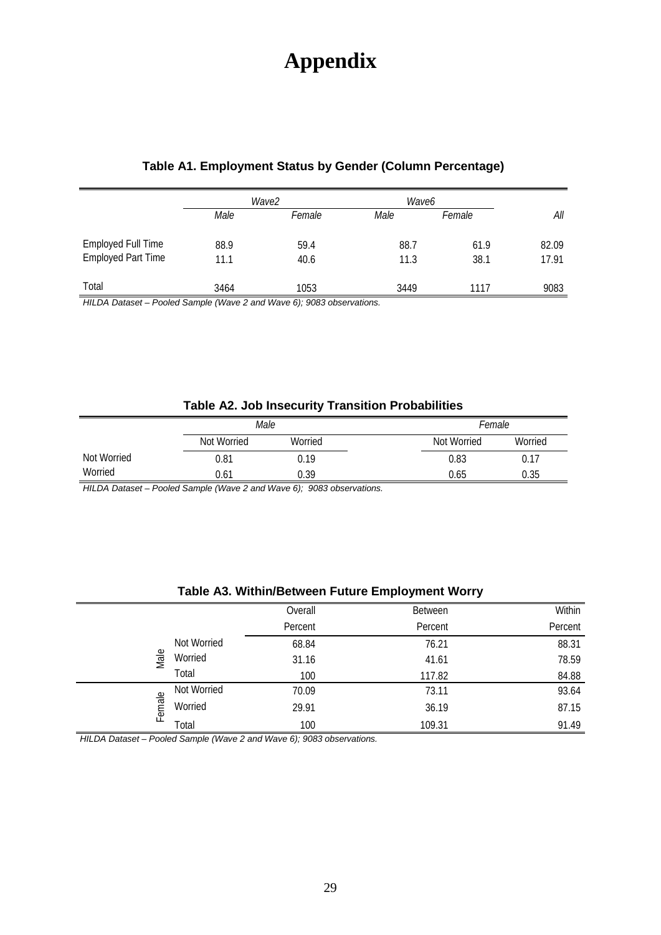# **Appendix**

|                                                        | Wave2        |              | Wave6        |              |                |
|--------------------------------------------------------|--------------|--------------|--------------|--------------|----------------|
|                                                        | Male         | Female       | Male         | Female       | All            |
| <b>Employed Full Time</b><br><b>Employed Part Time</b> | 88.9<br>11.1 | 59.4<br>40.6 | 88.7<br>11.3 | 61.9<br>38.1 | 82.09<br>17.91 |
| Total                                                  | 3464         | 1053         | 3449         | 1117         | 9083           |

*HILDA Dataset – Pooled Sample (Wave 2 and Wave 6); 9083 observations.*

| Table A2. Job Insecurity Transition Probabilities |  |  |
|---------------------------------------------------|--|--|
|---------------------------------------------------|--|--|

|             | Male        |         |  | Female      |         |
|-------------|-------------|---------|--|-------------|---------|
|             | Not Worried | Worried |  | Not Worried | Worried |
| Not Worried | 0.81        | 0.19    |  | 0.83        | 0.17    |
| Worried     | 0.61        | 0.39    |  | 0.65        | 0.35    |

*HILDA Dataset – Pooled Sample (Wave 2 and Wave 6); 9083 observations.*

| Table A3. Within/Between Future Employment Worry |
|--------------------------------------------------|
|--------------------------------------------------|

|        |             | Overall | <b>Between</b> | Within  |
|--------|-------------|---------|----------------|---------|
|        |             | Percent | Percent        | Percent |
|        | Not Worried | 68.84   | 76.21          | 88.31   |
| Male   | Worried     | 31.16   | 41.61          | 78.59   |
|        | Total       | 100     | 117.82         | 84.88   |
|        | Not Worried | 70.09   | 73.11          | 93.64   |
| Female | Worried     | 29.91   | 36.19          | 87.15   |
|        | Total       | 100     | 109.31         | 91.49   |

*HILDA Dataset – Pooled Sample (Wave 2 and Wave 6); 9083 observations.*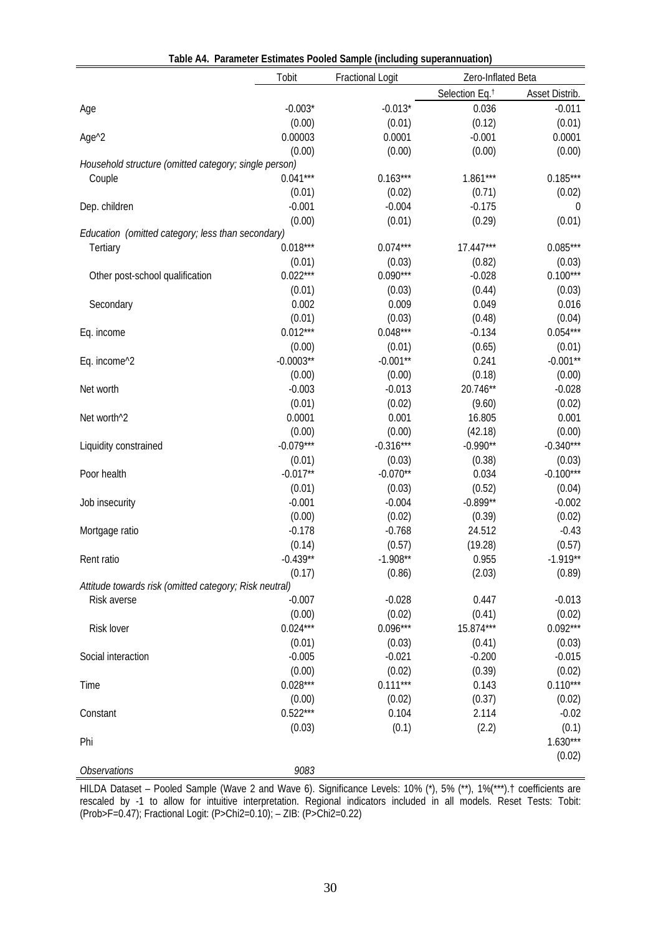|                                                        | Tobit       | <b>Fractional Logit</b> | Zero-Inflated Beta         |                |
|--------------------------------------------------------|-------------|-------------------------|----------------------------|----------------|
|                                                        |             |                         | Selection Eq. <sup>†</sup> | Asset Distrib. |
| Age                                                    | $-0.003*$   | $-0.013*$               | 0.036                      | $-0.011$       |
|                                                        | (0.00)      | (0.01)                  | (0.12)                     | (0.01)         |
| Age <sup>^2</sup>                                      | 0.00003     | 0.0001                  | $-0.001$                   | 0.0001         |
|                                                        | (0.00)      | (0.00)                  | (0.00)                     | (0.00)         |
| Household structure (omitted category; single person)  |             |                         |                            |                |
| Couple                                                 | $0.041***$  | $0.163***$              | $1.861***$                 | $0.185***$     |
|                                                        | (0.01)      | (0.02)                  | (0.71)                     | (0.02)         |
| Dep. children                                          | $-0.001$    | $-0.004$                | $-0.175$                   | 0              |
|                                                        | (0.00)      | (0.01)                  | (0.29)                     | (0.01)         |
| Education (omitted category; less than secondary)      |             |                         |                            |                |
| Tertiary                                               | $0.018***$  | $0.074***$              | $17.447***$                | $0.085***$     |
|                                                        | (0.01)      | (0.03)                  | (0.82)                     | (0.03)         |
| Other post-school qualification                        | $0.022***$  | $0.090***$              | $-0.028$                   | $0.100***$     |
|                                                        | (0.01)      | (0.03)                  | (0.44)                     | (0.03)         |
| Secondary                                              | 0.002       | 0.009                   | 0.049                      | 0.016          |
|                                                        | (0.01)      | (0.03)                  | (0.48)                     | (0.04)         |
| Eq. income                                             | $0.012***$  | $0.048***$              | $-0.134$                   | $0.054***$     |
|                                                        | (0.00)      | (0.01)                  | (0.65)                     | (0.01)         |
| Eq. income^2                                           | $-0.0003**$ | $-0.001**$              | 0.241                      | $-0.001**$     |
|                                                        | (0.00)      | (0.00)                  | (0.18)                     | (0.00)         |
| Net worth                                              | $-0.003$    | $-0.013$                | 20.746**                   | $-0.028$       |
|                                                        | (0.01)      | (0.02)                  | (9.60)                     | (0.02)         |
| Net worth <sup>^2</sup>                                | 0.0001      | 0.001                   | 16.805                     | 0.001          |
|                                                        | (0.00)      | (0.00)                  | (42.18)                    | (0.00)         |
| Liquidity constrained                                  | $-0.079***$ | $-0.316***$             | $-0.990**$                 | $-0.340***$    |
|                                                        | (0.01)      | (0.03)                  | (0.38)                     | (0.03)         |
| Poor health                                            | $-0.017**$  | $-0.070**$              | 0.034                      | $-0.100***$    |
|                                                        | (0.01)      | (0.03)                  | (0.52)                     | (0.04)         |
| Job insecurity                                         | $-0.001$    | $-0.004$                | $-0.899**$                 | $-0.002$       |
|                                                        | (0.00)      | (0.02)                  | (0.39)                     | (0.02)         |
| Mortgage ratio                                         | $-0.178$    | $-0.768$                | 24.512                     | $-0.43$        |
|                                                        | (0.14)      | (0.57)                  | (19.28)                    | (0.57)         |
| Rent ratio                                             | $-0.439**$  | $-1.908**$              | 0.955                      | $-1.919**$     |
|                                                        | (0.17)      | (0.86)                  | (2.03)                     | (0.89)         |
| Attitude towards risk (omitted category; Risk neutral) |             |                         |                            |                |
| Risk averse                                            | $-0.007$    | $-0.028$                | 0.447                      | $-0.013$       |
|                                                        | (0.00)      | (0.02)                  | (0.41)                     | (0.02)         |
| Risk lover                                             | $0.024***$  | $0.096***$              | 15.874***                  | $0.092***$     |
|                                                        | (0.01)      | (0.03)                  | (0.41)                     | (0.03)         |
| Social interaction                                     | $-0.005$    | $-0.021$                | $-0.200$                   | $-0.015$       |
|                                                        | (0.00)      | (0.02)                  | (0.39)                     | (0.02)         |
| Time                                                   | $0.028***$  | $0.111***$              | 0.143                      | $0.110***$     |
|                                                        | (0.00)      | (0.02)                  | (0.37)                     | (0.02)         |
| Constant                                               | $0.522***$  | 0.104                   | 2.114                      | $-0.02$        |
|                                                        | (0.03)      | (0.1)                   | (2.2)                      | (0.1)          |
| Phi                                                    |             |                         |                            | $1.630***$     |
|                                                        |             |                         |                            | (0.02)         |
| Observations                                           | 9083        |                         |                            |                |

HILDA Dataset – Pooled Sample (Wave 2 and Wave 6). Significance Levels: 10% (\*), 5% (\*\*), 1%(\*\*\*).† coefficients are rescaled by -1 to allow for intuitive interpretation. Regional indicators included in all models. Reset Tests: Tobit: (Prob>F=0.47); Fractional Logit: (P>Chi2=0.10); – ZIB: (P>Chi2=0.22)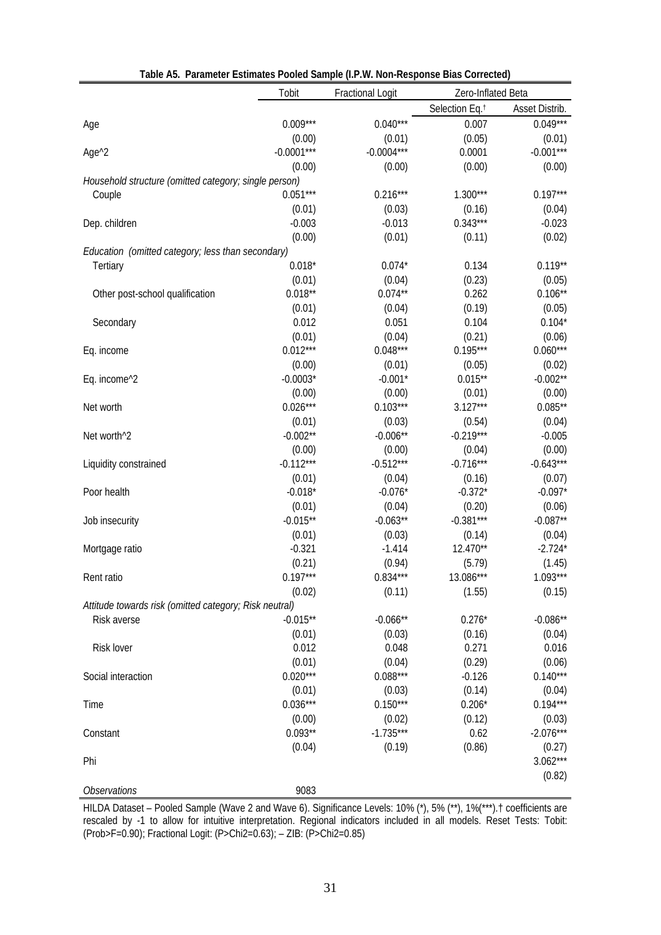|                                                        | Tobit                | <b>Fractional Logit</b> | Zero-Inflated Beta         |                |
|--------------------------------------------------------|----------------------|-------------------------|----------------------------|----------------|
|                                                        |                      |                         | Selection Eq. <sup>†</sup> | Asset Distrib. |
| Age                                                    | $0.009***$           | $0.040***$              | 0.007                      | $0.049***$     |
|                                                        | (0.00)               | (0.01)                  | (0.05)                     | (0.01)         |
| Age <sup>^2</sup>                                      | $-0.0001***$         | $-0.0004***$            | 0.0001                     | $-0.001***$    |
|                                                        | (0.00)               | (0.00)                  | (0.00)                     | (0.00)         |
| Household structure (omitted category; single person)  |                      |                         |                            |                |
| Couple                                                 | $0.051***$           | $0.216***$              | $1.300***$                 | $0.197***$     |
|                                                        | (0.01)               | (0.03)                  | (0.16)                     | (0.04)         |
| Dep. children                                          | $-0.003$             | $-0.013$                | $0.343***$                 | $-0.023$       |
|                                                        | (0.00)               | (0.01)                  | (0.11)                     | (0.02)         |
| Education (omitted category; less than secondary)      |                      |                         |                            |                |
| Tertiary                                               | $0.018*$             | $0.074*$                | 0.134                      | $0.119**$      |
|                                                        | (0.01)               | (0.04)                  | (0.23)                     | (0.05)         |
| Other post-school qualification                        | $0.018**$            | $0.074**$               | 0.262                      | $0.106**$      |
|                                                        | (0.01)               | (0.04)                  | (0.19)                     | (0.05)         |
| Secondary                                              | 0.012                | 0.051                   | 0.104                      | $0.104*$       |
|                                                        | (0.01)               | (0.04)                  | (0.21)                     | (0.06)         |
| Eq. income                                             | $0.012***$           | $0.048***$              | $0.195***$                 | $0.060***$     |
|                                                        | (0.00)               | (0.01)                  | (0.05)                     | (0.02)         |
| Eq. income <sup>^2</sup>                               | $-0.0003*$           | $-0.001*$               | $0.015**$                  | $-0.002**$     |
|                                                        | (0.00)               | (0.00)                  | (0.01)                     | (0.00)         |
|                                                        | $0.026***$           | $0.103***$              | $3.127***$                 | $0.085**$      |
| Net worth                                              |                      |                         |                            |                |
|                                                        | (0.01)<br>$-0.002**$ | (0.03)<br>$-0.006**$    | (0.54)<br>$-0.219***$      | (0.04)         |
| Net worth <sup>^2</sup>                                |                      |                         |                            | $-0.005$       |
|                                                        | (0.00)               | (0.00)                  | (0.04)                     | (0.00)         |
| Liquidity constrained                                  | $-0.112***$          | $-0.512***$             | $-0.716***$                | $-0.643***$    |
|                                                        | (0.01)               | (0.04)                  | (0.16)                     | (0.07)         |
| Poor health                                            | $-0.018*$            | $-0.076*$               | $-0.372*$                  | $-0.097*$      |
|                                                        | (0.01)               | (0.04)                  | (0.20)                     | (0.06)         |
| Job insecurity                                         | $-0.015**$           | $-0.063**$              | $-0.381***$                | $-0.087**$     |
|                                                        | (0.01)               | (0.03)                  | (0.14)                     | (0.04)         |
| Mortgage ratio                                         | $-0.321$             | $-1.414$                | 12.470**                   | $-2.724*$      |
|                                                        | (0.21)               | (0.94)                  | (5.79)                     | (1.45)         |
| Rent ratio                                             | $0.197***$           | $0.834***$              | 13.086***                  | $1.093***$     |
|                                                        | (0.02)               | (0.11)                  | (1.55)                     | (0.15)         |
| Attitude towards risk (omitted category; Risk neutral) |                      |                         |                            |                |
| Risk averse                                            | $-0.015**$           | $-0.066**$              | $0.276*$                   | $-0.086**$     |
|                                                        | (0.01)               | (0.03)                  | (0.16)                     | (0.04)         |
| Risk lover                                             | 0.012                | 0.048                   | 0.271                      | 0.016          |
|                                                        | (0.01)               | (0.04)                  | (0.29)                     | (0.06)         |
| Social interaction                                     | $0.020***$           | $0.088***$              | $-0.126$                   | $0.140***$     |
|                                                        | (0.01)               | (0.03)                  | (0.14)                     | (0.04)         |
| Time                                                   | $0.036***$           | $0.150***$              | $0.206*$                   | $0.194***$     |
|                                                        | (0.00)               | (0.02)                  | (0.12)                     | (0.03)         |
| Constant                                               | $0.093**$            | $-1.735***$             | 0.62                       | $-2.076***$    |
|                                                        | (0.04)               | (0.19)                  | (0.86)                     | (0.27)         |
| Phi                                                    |                      |                         |                            | $3.062***$     |
|                                                        |                      |                         |                            | (0.82)         |
| <b>Observations</b>                                    | 9083                 |                         |                            |                |

HILDA Dataset – Pooled Sample (Wave 2 and Wave 6). Significance Levels: 10% (\*), 5% (\*\*), 1%(\*\*\*).† coefficients are rescaled by -1 to allow for intuitive interpretation. Regional indicators included in all models. Reset Tests: Tobit: (Prob>F=0.90); Fractional Logit: (P>Chi2=0.63); – ZIB: (P>Chi2=0.85)